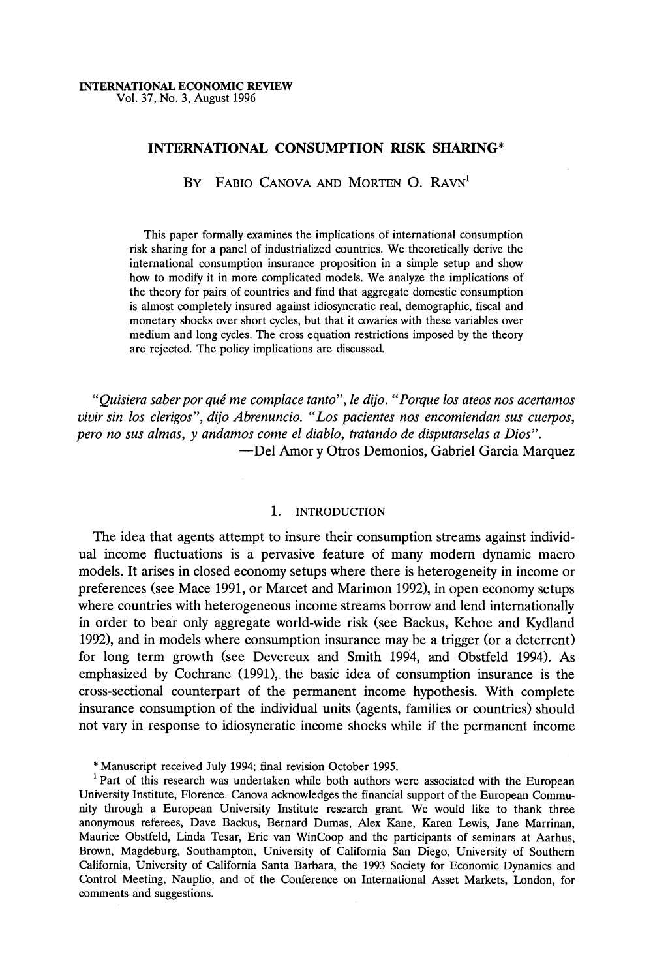## **INTERNATIONAL CONSUMPTION RISK SHARING\***

BY FABIO CANOVA AND MORTEN O. RAVN<sup>1</sup>

**This paper formally examines the implications of international consumption risk sharing for a panel of industrialized countries. We theoretically derive the international consumption insurance proposition in a simple setup and show how to modify it in more complicated models. We analyze the implications of the theory for pairs of countries and find that aggregate domestic consumption is almost completely insured against idiosyncratic real, demographic, fiscal and monetary shocks over short cycles, but that it covaries with these variables over medium and long cycles. The cross equation restrictions imposed by the theory are rejected. The policy implications are discussed.** 

"Quisiera saber por qué me complace tanto", le dijo. "Porque los ateos nos acertamos **vivir sin los clerigos", dijo Abrenuncio. "Los pacientes nos encomiendan sus cuerpos, pero no sus almas, y andamos come el diablo, tratando de disputarselas a Dios". -Del Amor y Otros Demonios, Gabriel Garcia Marquez** 

## **1. INTRODUCTION**

**The idea that agents attempt to insure their consumption streams against individual income fluctuations is a pervasive feature of many modem dynamic macro models. It arises in closed economy setups where there is heterogeneity in income or preferences (see Mace 1991, or Marcet and Marimon 1992), in open economy setups where countries with heterogeneous income streams borrow and lend internationally in order to bear only aggregate world-wide risk (see Backus, Kehoe and Kydland 1992), and in models where consumption insurance may be a trigger (or a deterrent) for long term growth (see Devereux and Smith 1994, and Obstfeld 1994). As emphasized by Cochrane (1991), the basic idea of consumption insurance is the cross-sectional counterpart of the permanent income hypothesis. With complete insurance consumption of the individual units (agents, families or countries) should not vary in response to idiosyncratic income shocks while if the permanent income** 

**\* Manuscript received July 1994; final revision October 1995.** 

<sup>1</sup> Part of this research was undertaken while both authors were associated with the European **University Institute, Florence. Canova acknowledges the financial support of the European Community through a European University Institute research grant. We would like to thank three anonymous referees, Dave Backus, Bernard Dumas, Alex Kane, Karen Lewis, Jane Marrinan, Maurice Obstfeld, Linda Tesar, Eric van WinCoop and the participants of seminars at Aarhus, Brown, Magdeburg, Southampton, University of California San Diego, University of Southern California, University of California Santa Barbara, the 1993 Society for Economic Dynamics and Control Meeting, Nauplio, and of the Conference on International Asset Markets, London, for comments and suggestions.**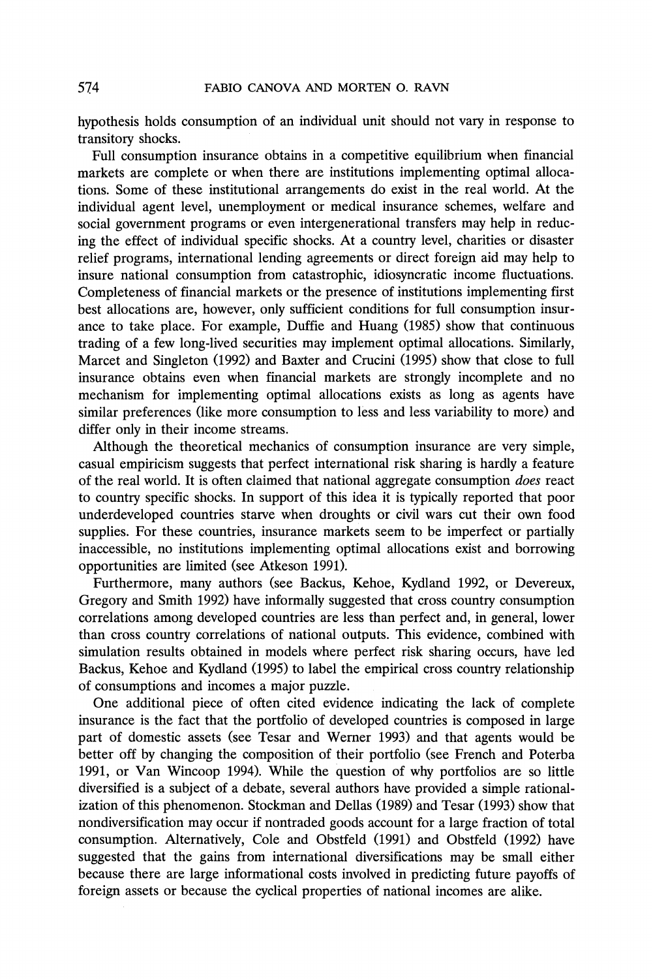**hypothesis holds consumption of an individual unit should not vary in response to transitory shocks.** 

**Full consumption insurance obtains in a competitive equilibrium when financial markets are complete or when there are institutions implementing optimal allocations. Some of these institutional arrangements do exist in the real world. At the individual agent level, unemployment or medical insurance schemes, welfare and social government programs or even intergenerational transfers may help in reducing the effect of individual specific shocks. At a country level, charities or disaster relief programs, international lending agreements or direct foreign aid may help to insure national consumption from catastrophic, idiosyncratic income fluctuations. Completeness of financial markets or the presence of institutions implementing first best allocations are, however, only sufficient conditions for full consumption insurance to take place. For example, Duffie and Huang (1985) show that continuous trading of a few long-lived securities may implement optimal allocations. Similarly, Marcet and Singleton (1992) and Baxter and Crucini (1995) show that close to full insurance obtains even when financial markets are strongly incomplete and no mechanism for implementing optimal allocations exists as long as agents have similar preferences (like more consumption to less and less variability to more) and differ only in their income streams.** 

**Although the theoretical mechanics of consumption insurance are very simple, casual empiricism suggests that perfect international risk sharing is hardly a feature of the real world. It is often claimed that national aggregate consumption does react to country specific shocks. In support of this idea it is typically reported that poor underdeveloped countries starve when droughts or civil wars cut their own food supplies. For these countries, insurance markets seem to be imperfect or partially inaccessible, no institutions implementing optimal allocations exist and borrowing opportunities are limited (see Atkeson 1991).** 

**Furthermore, many authors (see Backus, Kehoe, Kydland 1992, or Devereux, Gregory and Smith 1992) have informally suggested that cross country consumption correlations among developed countries are less than perfect and, in general, lower than cross country correlations of national outputs. This evidence, combined with simulation results obtained in models where perfect risk sharing occurs, have led Backus, Kehoe and Kydland (1995) to label the empirical cross country relationship of consumptions and incomes a major puzzle.** 

**One additional piece of often cited evidence indicating the lack of complete insurance is the fact that the portfolio of developed countries is composed in large part of domestic assets (see Tesar and Werner 1993) and that agents would be better off by changing the composition of their portfolio (see French and Poterba 1991, or Van Wincoop 1994). While the question of why portfolios are so little diversified is a subject of a debate, several authors have provided a simple rationalization of this phenomenon. Stockman and Dellas (1989) and Tesar (1993) show that nondiversification may occur if nontraded goods account for a large fraction of total consumption. Alternatively, Cole and Obstfeld (1991) and Obstfeld (1992) have suggested that the gains from international diversifications may be small either because there are large informational costs involved in predicting future payoffs of foreign assets or because the cyclical properties of national incomes are alike.**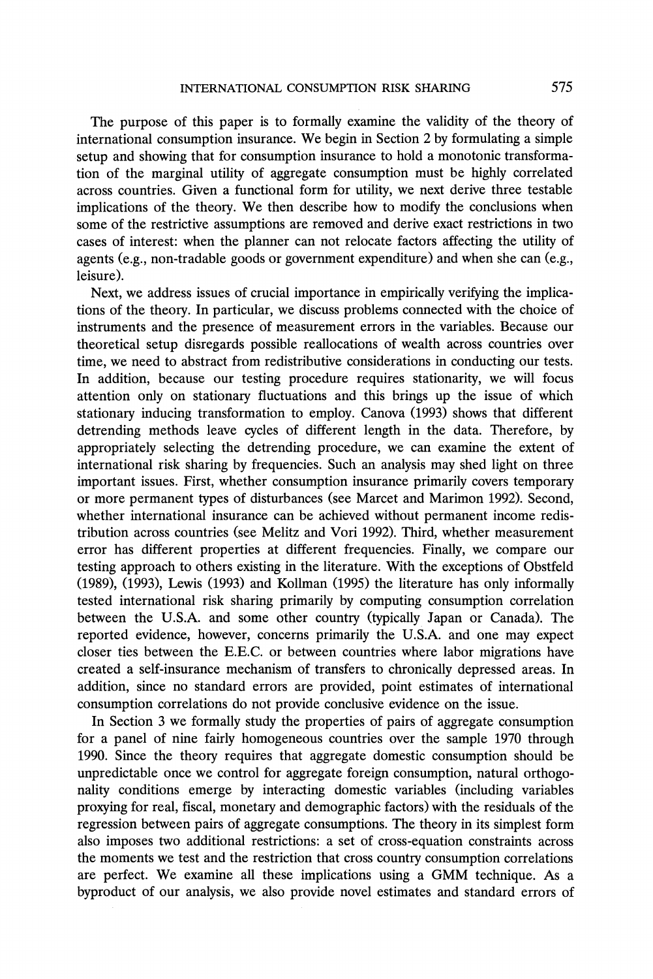**The purpose of this paper is to formally examine the validity of the theory of international consumption insurance. We begin in Section 2 by formulating a simple setup and showing that for consumption insurance to hold a monotonic transformation of the marginal utility of aggregate consumption must be highly correlated across countries. Given a functional form for utility, we next derive three testable implications of the theory. We then describe how to modify the conclusions when some of the restrictive assumptions are removed and derive exact restrictions in two cases of interest: when the planner can not relocate factors affecting the utility of agents (e.g., non-tradable goods or government expenditure) and when she can (e.g., leisure).** 

**Next, we address issues of crucial importance in empirically verifying the implications of the theory. In particular, we discuss problems connected with the choice of instruments and the presence of measurement errors in the variables. Because our theoretical setup disregards possible reallocations of wealth across countries over time, we need to abstract from redistributive considerations in conducting our tests. In addition, because our testing procedure requires stationarity, we will focus attention only on stationary fluctuations and this brings up the issue of which stationary inducing transformation to employ. Canova (1993) shows that different detrending methods leave cycles of different length in the data. Therefore, by appropriately selecting the detrending procedure, we can examine the extent of international risk sharing by frequencies. Such an analysis may shed light on three important issues. First, whether consumption insurance primarily covers temporary or more permanent types of disturbances (see Marcet and Marimon 1992). Second, whether international insurance can be achieved without permanent income redistribution across countries (see Melitz and Vori 1992). Third, whether measurement error has different properties at different frequencies. Finally, we compare our testing approach to others existing in the literature. With the exceptions of Obstfeld (1989), (1993), Lewis (1993) and Kollman (1995) the literature has only informally tested international risk sharing primarily by computing consumption correlation between the U.S.A. and some other country (typically Japan or Canada). The reported evidence, however, concerns primarily the U.S.A. and one may expect closer ties between the E.E.C. or between countries where labor migrations have created a self-insurance mechanism of transfers to chronically depressed areas. In addition, since no standard errors are provided, point estimates of international consumption correlations do not provide conclusive evidence on the issue.** 

**In Section 3 we formally study the properties of pairs of aggregate consumption for a panel of nine fairly homogeneous countries over the sample 1970 through 1990. Since the theory requires that aggregate domestic consumption should be unpredictable once we control for aggregate foreign consumption, natural orthogonality conditions emerge by interacting domestic variables (including variables proxying for real, fiscal, monetary and demographic factors) with the residuals of the regression between pairs of aggregate consumptions. The theory in its simplest form also imposes two additional restrictions: a set of cross-equation constraints across the moments we test and the restriction that cross country consumption correlations are perfect. We examine all these implications using a GMM technique. As a byproduct of our analysis, we also provide novel estimates and standard errors of**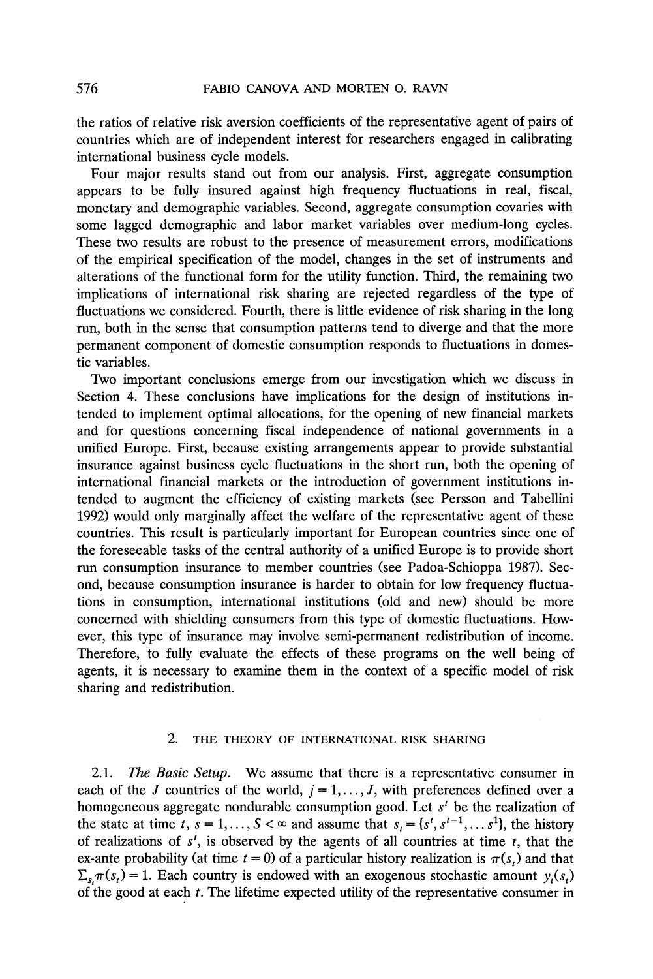**the ratios of relative risk aversion coefficients of the representative agent of pairs of countries which are of independent interest for researchers engaged in calibrating international business cycle models.** 

**Four major results stand out from our analysis. First, aggregate consumption appears to be fully insured against high frequency fluctuations in real, fiscal, monetary and demographic variables. Second, aggregate consumption covaries with some lagged demographic and labor market variables over medium-long cycles. These two results are robust to the presence of measurement errors, modifications of the empirical specification of the model, changes in the set of instruments and alterations of the functional form for the utility function. Third, the remaining two implications of international risk sharing are rejected regardless of the type of fluctuations we considered. Fourth, there is little evidence of risk sharing in the long run, both in the sense that consumption patterns tend to diverge and that the more permanent component of domestic consumption responds to fluctuations in domestic variables.** 

**Two important conclusions emerge from our investigation which we discuss in Section 4. These conclusions have implications for the design of institutions intended to implement optimal allocations, for the opening of new financial markets and for questions concerning fiscal independence of national governments in a unified Europe. First, because existing arrangements appear to provide substantial insurance against business cycle fluctuations in the short run, both the opening of international financial markets or the introduction of government institutions intended to augment the efficiency of existing markets (see Persson and Tabellini 1992) would only marginally affect the welfare of the representative agent of these countries. This result is particularly important for European countries since one of the foreseeable tasks of the central authority of a unified Europe is to provide short run consumption insurance to member countries (see Padoa-Schioppa 1987). Second, because consumption insurance is harder to obtain for low frequency fluctuations in consumption, international institutions (old and new) should be more concerned with shielding consumers from this type of domestic fluctuations. However, this type of insurance may involve semi-permanent redistribution of income. Therefore, to fully evaluate the effects of these programs on the well being of agents, it is necessary to examine them in the context of a specific model of risk sharing and redistribution.** 

## **2. THE THEORY OF INTERNATIONAL RISK SHARING**

**2.1. The Basic Setup. We assume that there is a representative consumer in**  each of the J countries of the world,  $j = 1, \ldots, J$ , with preferences defined over a **homogeneous aggregate nondurable consumption good. Let s' be the realization of**  the state at time t,  $s = 1, ..., S < \infty$  and assume that  $s_t = \{s^t, s^{t-1}, ..., s^1\}$ , the history of realizations of  $s<sup>t</sup>$ , is observed by the agents of all countries at time  $t$ , that the ex-ante probability (at time  $t = 0$ ) of a particular history realization is  $\pi(s_t)$  and that  $\sum_{s} \pi(s) = 1$ . Each country is endowed with an exogenous stochastic amount y,(s,) **of the good at each t. The lifetime expected utility of the representative consumer in**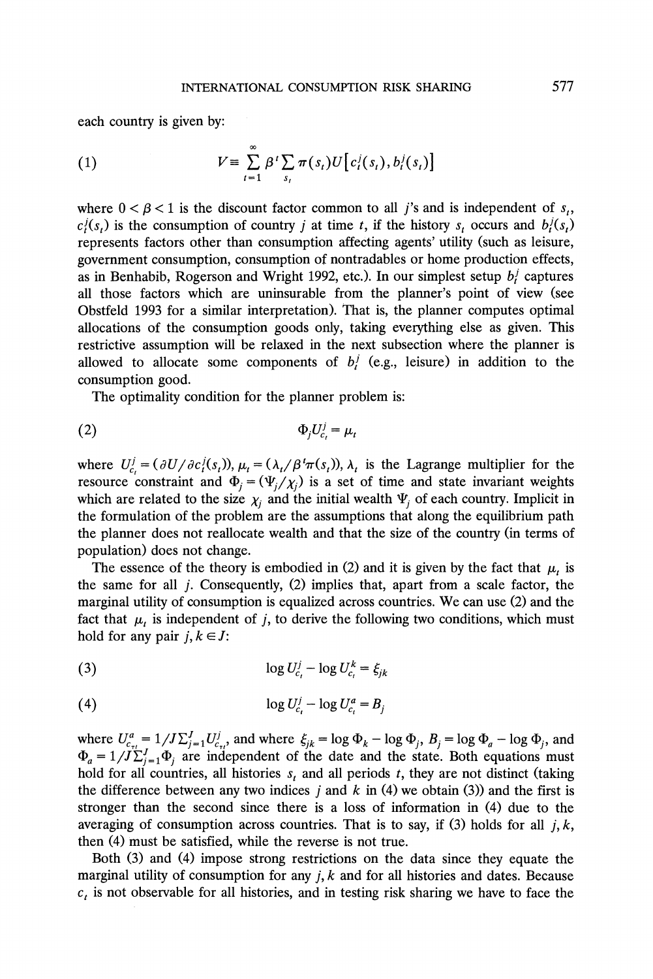**each country is given by:** 

(1) 
$$
V \equiv \sum_{t=1}^{\infty} \beta^{t} \sum_{s_t} \pi(s_t) U[c_t^{j}(s_t), b_t^{j}(s_t)]
$$

where  $0 < \beta < 1$  is the discount factor common to all j's and is independent of  $s_t$ ,  $c_i(s_i)$  is the consumption of country *j* at time *t*, if the history  $s_i$  occurs and  $b_i^j(s_i)$ **represents factors other than consumption affecting agents' utility (such as leisure, government consumption, consumption of nontradables or home production effects, as in Benhabib, Rogerson and Wright 1992, etc.). In our simplest setup b/ captures all those factors which are uninsurable from the planner's point of view (see Obstfeld 1993 for a similar interpretation). That is, the planner computes optimal allocations of the consumption goods only, taking everything else as given. This restrictive assumption will be relaxed in the next subsection where the planner is**  allowed to allocate some components of  $b_j$  (e.g., leisure) in addition to the **consumption good.** 

**The optimality condition for the planner problem is:** 

$$
\Phi_j U_{c_t}^j = \mu_t
$$

where  $U_{c_i}^j = (\partial U/\partial c_i^j(s_i))$ ,  $\mu_i = (\lambda_i/\beta^i \pi(s_i))$ ,  $\lambda_i$  is the Lagrange multiplier for the **resource constraint and**  $\Phi_j = (\Psi_j / \chi_j)$  **is a set of time and state invariant weights** which are related to the size  $\chi_i$  and the initial wealth  $\Psi_i$  of each country. Implicit in **the formulation of the problem are the assumptions that along the equilibrium path the planner does not reallocate wealth and that the size of the country (in terms of population) does not change.** 

The essence of the theory is embodied in (2) and it is given by the fact that  $\mu_t$  is **the same for all j. Consequently, (2) implies that, apart from a scale factor, the marginal utility of consumption is equalized across countries. We can use (2) and the**  fact that  $\mu$ , is independent of j, to derive the following two conditions, which must hold for any pair  $j, k \in J$ :

$$
\log U_{c_i}^j - \log U_{c_i}^k = \xi_{jk}
$$

$$
(4) \t\t \tlog U_{c_t}^j - \log U_{c_t}^a = B_j
$$

where  $U_{c_{1}}^{a} = 1/J\sum_{j=1}^{J}U_{c_{1}}^{j}$  and where  $\xi_{jk} = \log \Phi_{k} - \log \Phi_{j}$ ,  $B_{j} = \log \Phi_{a} - \log \Phi_{j}$ , and  $\Phi_a = 1/J\sum_{i=1}^{r} \Phi_i$  are independent of the date and the state. Both equations must hold for all countries, all histories  $s_t$  and all periods  $t$ , they are not distinct (taking the difference between any two indices  $j$  and  $k$  in (4) we obtain (3)) and the first is **stronger than the second since there is a loss of information in (4) due to the**  averaging of consumption across countries. That is to say, if  $(3)$  holds for all *j*, *k*, **then (4) must be satisfied, while the reverse is not true.** 

**Both (3) and (4) impose strong restrictions on the data since they equate the marginal utility of consumption for any j, k and for all histories and dates. Because**   $c<sub>t</sub>$  is not observable for all histories, and in testing risk sharing we have to face the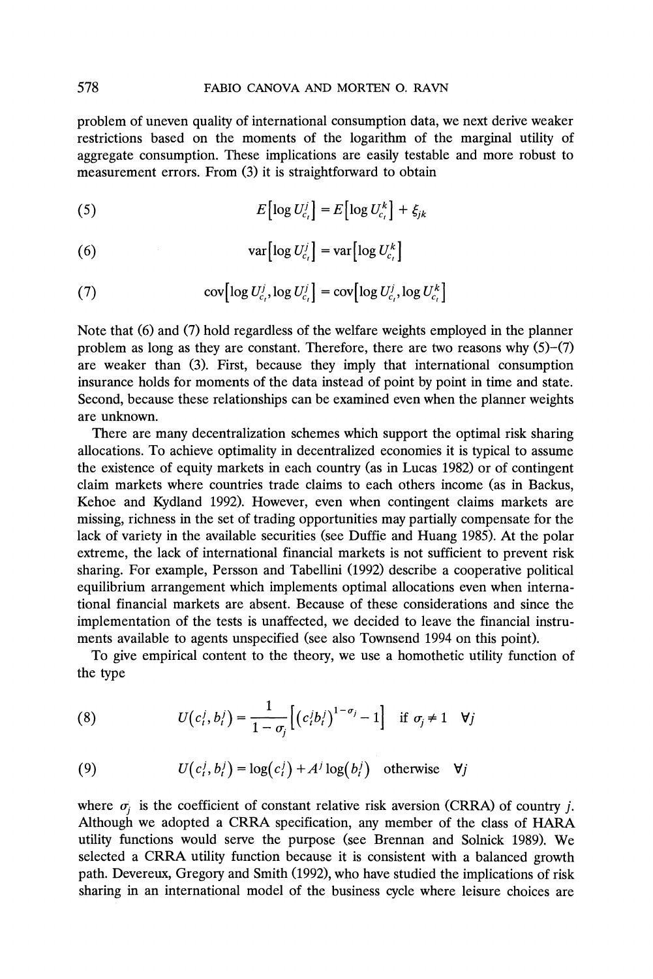**problem of uneven quality of international consumption data, we next derive weaker restrictions based on the moments of the logarithm of the marginal utility of aggregate consumption. These implications are easily testable and more robust to measurement errors. From (3) it is straightforward to obtain** 

$$
(5) \t E\big[\log U_{c_i}^j\big] = E\big[\log U_{c_i}^k\big] + \xi_{jk}
$$

(6)  $\operatorname{var}[\log U_c^j] = \operatorname{var}[\log U_c^k]$ 

(7) 
$$
\text{cov}\big[\log U_{c_i}^j, \log U_{c_i}^j\big] = \text{cov}\big[\log U_{c_i}^j, \log U_{c_i}^k\big]
$$

**Note that (6) and (7) hold regardless of the welfare weights employed in the planner problem as long as they are constant. Therefore, there are two reasons why (5)-(7) are weaker than (3). First, because they imply that international consumption insurance holds for moments of the data instead of point by point in time and state. Second, because these relationships can be examined even when the planner weights are unknown.** 

**There are many decentralization schemes which support the optimal risk sharing allocations. To achieve optimality in decentralized economies it is typical to assume the existence of equity markets in each country (as in Lucas 1982) or of contingent claim markets where countries trade claims to each others income (as in Backus, Kehoe and Kydland 1992). However, even when contingent claims markets are missing, richness in the set of trading opportunities may partially compensate for the lack of variety in the available securities (see Duffie and Huang 1985). At the polar extreme, the lack of international financial markets is not sufficient to prevent risk sharing. For example, Persson and Tabellini (1992) describe a cooperative political equilibrium arrangement which implements optimal allocations even when international financial markets are absent. Because of these considerations and since the implementation of the tests is unaffected, we decided to leave the financial instruments available to agents unspecified (see also Townsend 1994 on this point).** 

**To give empirical content to the theory, we use a homothetic utility function of the type** 

(8) 
$$
U(c_i^j, b_i^j) = \frac{1}{1 - \sigma_j} \Big[ \big( c_i^j b_i^j \big)^{1 - \sigma_j} - 1 \Big] \quad \text{if } \sigma_j \neq 1 \quad \forall j
$$

(9) 
$$
U(c_i^j, b_i^j) = \log(c_i^j) + A^j \log(b_i^j) \text{ otherwise } \forall j
$$

where  $\sigma_i$  is the coefficient of constant relative risk aversion (CRRA) of country *i*. **Although we adopted a CRRA specification, any member of the class of HARA utility functions would serve the purpose (see Brennan and Solnick 1989). We selected a CRRA utility function because it is consistent with a balanced growth path. Devereux, Gregory and Smith (1992), who have studied the implications of risk sharing in an international model of the business cycle where leisure choices are**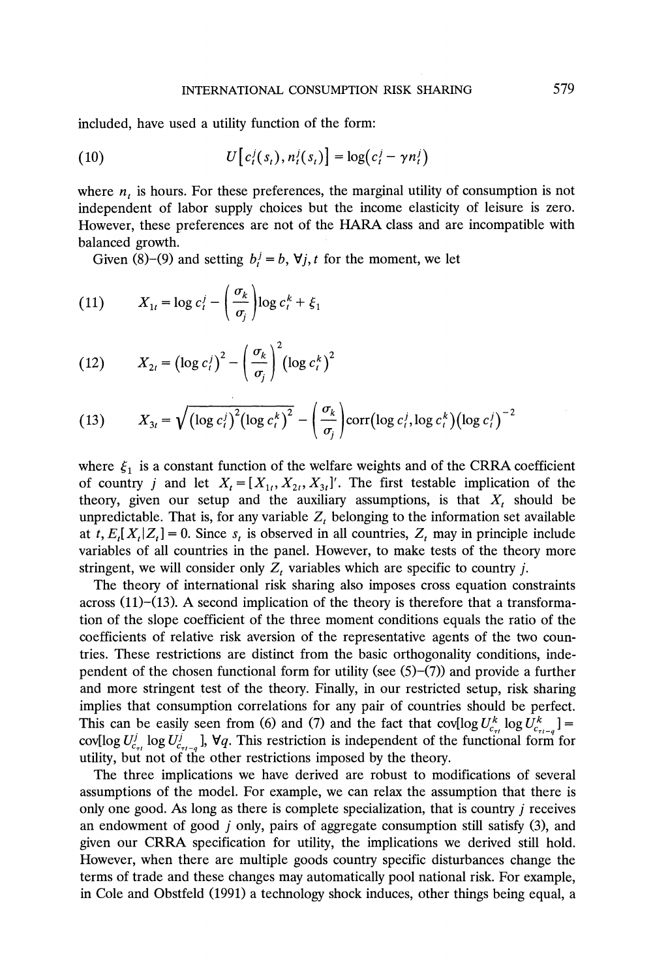**included, have used a utility function of the form:** 

(10) 
$$
U[c_i(s_i), n_i(s_i)] = \log(c_i^j - \gamma n_i^j)
$$

where  $n_t$  is hours. For these preferences, the marginal utility of consumption is not **independent of labor supply choices but the income elasticity of leisure is zero. However, these preferences are not of the HARA class and are incompatible with balanced growth.** 

Given (8)–(9) and setting  $b_i^j = b$ ,  $\forall j, t$  for the moment, we let

(11) 
$$
X_{1t} = \log c_t^j - \left(\frac{\sigma_k}{\sigma_j}\right) \log c_t^k + \xi_1
$$

(12) 
$$
X_{2t} = \left(\log c_i^t\right)^2 - \left(\frac{\sigma_k}{\sigma_j}\right)^2 \left(\log c_i^k\right)^2
$$

(13) 
$$
X_{3t} = \sqrt{\left(\log c_i^j\right)^2 \left(\log c_i^k\right)^2} - \left(\frac{\sigma_k}{\sigma_j}\right) \text{corr}\left(\log c_i^j, \log c_i^k\right) \left(\log c_i^j\right)^{-2}
$$

where  $\xi_1$  is a constant function of the welfare weights and of the CRRA coefficient of country *j* and let  $X_t = [X_{1t}, X_{2t}, X_{3t}]'$ . The first testable implication of the theory, given our setup and the auxiliary assumptions, is that  $X_t$  should be unpredictable. That is, for any variable  $Z_t$  belonging to the information set available at  $t, E_t[X_t | Z_t] = 0$ . Since  $s_t$  is observed in all countries,  $Z_t$  may in principle include **variables of all countries in the panel. However, to make tests of the theory more**  stringent, we will consider only  $Z_t$  variables which are specific to country *j*.

**The theory of international risk sharing also imposes cross equation constraints across (11)-(13). A second implication of the theory is therefore that a transformation of the slope coefficient of the three moment conditions equals the ratio of the coefficients of relative risk aversion of the representative agents of the two countries. These restrictions are distinct from the basic orthogonality conditions, inde**pendent of the chosen functional form for utility (see  $(5)-(7)$ ) and provide a further **and more stringent test of the theory. Finally, in our restricted setup, risk sharing implies that consumption correlations for any pair of countries should be perfect.**  This can be easily seen from (6) and (7) and the fact that  $\text{cov}[\log U_{c_{rt}}^k \log U_{c_{rt-a}}^k] =$  $\text{cov}[\log U_{c}^j \log U_{c}^j]$ ,  $\nabla q$ . This restriction is independent of the functional form for **utility, but not of the other restrictions imposed by the theory.** 

**The three implications we have derived are robust to modifications of several assumptions of the model. For example, we can relax the assumption that there is only one good. As long as there is complete specialization, that is country j receives an endowment of good j only, pairs of aggregate consumption still satisfy (3), and given our CRRA specification for utility, the implications we derived still hold. However, when there are multiple goods country specific disturbances change the terms of trade and these changes may automatically pool national risk. For example, in Cole and Obstfeld (1991) a technology shock induces, other things being equal, a**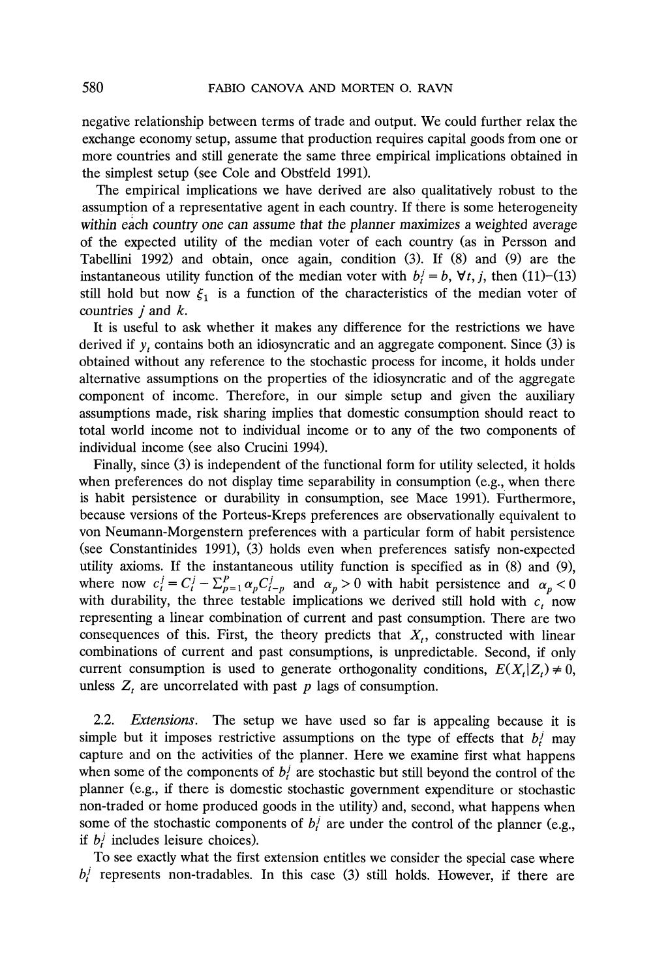**negative relationship between terms of trade and output. We could further relax the exchange economy setup, assume that production requires capital goods from one or more countries and still generate the same three empirical implications obtained in the simplest setup (see Cole and Obstfeld 1991).** 

**The empirical implications we have derived are also qualitatively robust to the assumption of a representative agent in each country. If there is some heterogeneity within each country one can assume that the planner maximizes a weighted average of the expected utility of the median voter of each country (as in Persson and Tabellini 1992) and obtain, once again, condition (3). If (8) and (9) are the**  instantaneous utility function of the median voter with  $b_i^j = b$ ,  $\forall t, j$ , then (11)-(13) still hold but now  $\xi_1$  is a function of the characteristics of the median voter of **countries j and k.** 

**It is useful to ask whether it makes any difference for the restrictions we have**  derived if  $y_t$  contains both an idiosyncratic and an aggregate component. Since  $(3)$  is **obtained without any reference to the stochastic process for income, it holds under alternative assumptions on the properties of the idiosyncratic and of the aggregate component of income. Therefore, in our simple setup and given the auxiliary assumptions made, risk sharing implies that domestic consumption should react to total world income not to individual income or to any of the two components of individual income (see also Crucini 1994).** 

**Finally, since (3) is independent of the functional form for utility selected, it holds when preferences do not display time separability in consumption (e.g., when there is habit persistence or durability in consumption, see Mace 1991). Furthermore, because versions of the Porteus-Kreps preferences are observationally equivalent to von Neumann-Morgenstern preferences with a particular form of habit persistence (see Constantinides 1991), (3) holds even when preferences satisfy non-expected utility axioms. If the instantaneous utility function is specified as in (8) and (9),**  where now  $c_i^j = C_i^j - \sum_{p=1}^p \alpha_p C_{i-p}^j$  and  $\alpha_p > 0$  with habit persistence and  $\alpha_p < 0$ with durability, the three testable implications we derived still hold with  $c_t$  now **representing a linear combination of current and past consumption. There are two**  consequences of this. First, the theory predicts that  $X_t$ , constructed with linear **combinations of current and past consumptions, is unpredictable. Second, if only**  current consumption is used to generate orthogonality conditions,  $E(X_t|Z_t) \neq 0$ , unless  $Z_t$  are uncorrelated with past  $p$  lags of consumption.

**2.2. Extensions. The setup we have used so far is appealing because it is**  simple but it imposes restrictive assumptions on the type of effects that  $b_i^j$  may **capture and on the activities of the planner. Here we examine first what happens**  when some of the components of  $b_t^j$  are stochastic but still beyond the control of the **planner (e.g., if there is domestic stochastic government expenditure or stochastic non-traded or home produced goods in the utility) and, second, what happens when**  some of the stochastic components of  $b_i^j$  are under the control of the planner (e.g., if  $b_i$  includes leisure choices).

**To see exactly what the first extension entitles we consider the special case where b/ represents non-tradables. In this case (3) still holds. However, if there are**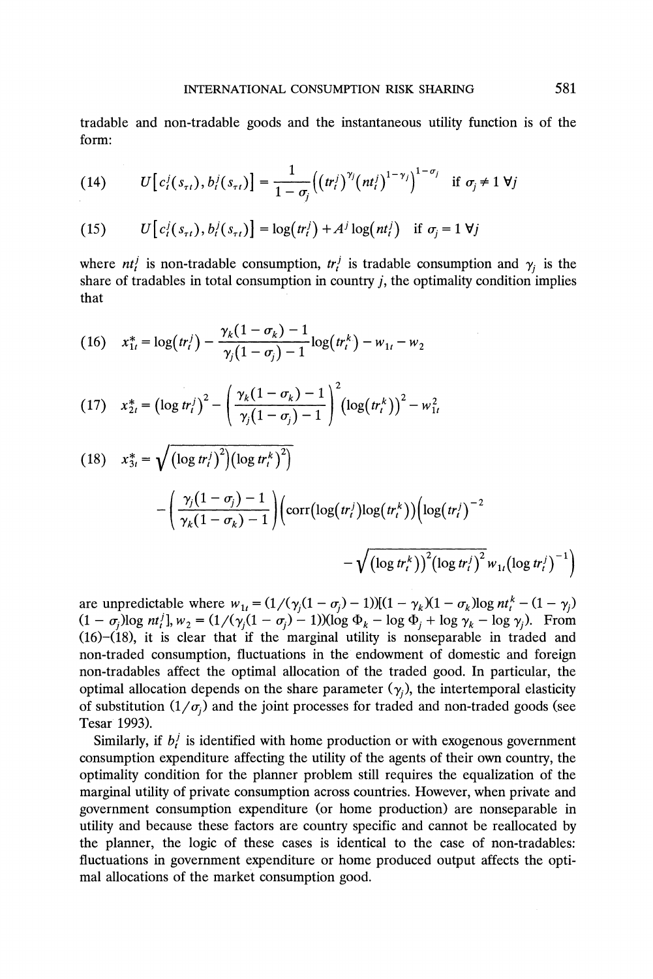**tradable and non-tradable goods and the instantaneous utility function is of the form:** 

(14) 
$$
U[c_i^j(s_{\tau t}), b_i^j(s_{\tau t})] = \frac{1}{1 - \sigma_j} ((tr_i^j)^{\gamma_j} (nt_i^j)^{1 - \gamma_j})^{1 - \sigma_j} \text{ if } \sigma_j \neq 1 \ \forall j
$$

(15) 
$$
U[c_i(s_{\tau t}), b_i^j(s_{\tau t})] = \log(tr_i^j) + A^j \log(nt_i^j) \text{ if } \sigma_j = 1 \forall j
$$

where  $nt_i^j$  is non-tradable consumption,  $tr_i^j$  is tradable consumption and  $\gamma_j$  is the **share of tradables in total consumption in country j, the optimality condition implies that** 

(16) 
$$
x_{1t}^* = \log(tr_t^j) - \frac{\gamma_k(1 - \sigma_k) - 1}{\gamma_j(1 - \sigma_j) - 1} \log(tr_t^k) - w_{1t} - w_2
$$

(17) 
$$
x_{2t}^* = \left(\log tr_i^j\right)^2 - \left(\frac{\gamma_k(1-\sigma_k)-1}{\gamma_j(1-\sigma_j)-1}\right)^2 \left(\log (tr_i^k)\right)^2 - w_{1t}^2
$$

(18) 
$$
x_{3t}^* = \sqrt{\frac{(\log tr_i^j)^2 (\log tr_i^k)^2}} - \left(\frac{\gamma_j (1 - \sigma_j) - 1}{\gamma_k (1 - \sigma_k) - 1}\right) \left(\text{corr}(\log(tr_i^j) \log(tr_i^k)) \left(\log(tr_i^j)^{-2}\right) - \sqrt{(\log tr_i^k)^2 (\log tr_i^j)^2 w_{1t} (\log tr_i^j)^{-1}}\right)
$$

are unpredictable where  $w_{1t} = (1/(\gamma_j(1 - \sigma_j) - 1))[(1 - \gamma_k)(1 - \sigma_k)\log nt_i^k - (1 - \gamma_j))$  $(1 - \sigma_i) \log \frac{nt_i!}{t}$ ,  $w_2 = \frac{1}{\gamma(\gamma_i(1 - \sigma_i) - 1)} (\log \Phi_k - \log \Phi_i + \log \gamma_k - \log \gamma_i)$ . From **(16)-(18), it is clear that if the marginal utility is nonseparable in traded and non-traded consumption, fluctuations in the endowment of domestic and foreign non-tradables affect the optimal allocation of the traded good. In particular, the**  optimal allocation depends on the share parameter  $(\gamma_i)$ , the intertemporal elasticity of substitution  $(1/\sigma_i)$  and the joint processes for traded and non-traded goods (see **Tesar 1993).** 

Similarly, if  $b_i^j$  is identified with home production or with exogenous government **consumption expenditure affecting the utility of the agents of their own country, the optimality condition for the planner problem still requires the equalization of the marginal utility of private consumption across countries. However, when private and government consumption expenditure (or home production) are nonseparable in utility and because these factors are country specific and cannot be reallocated by the planner, the logic of these cases is identical to the case of non-tradables: fluctuations in government expenditure or home produced output affects the optimal allocations of the market consumption good.**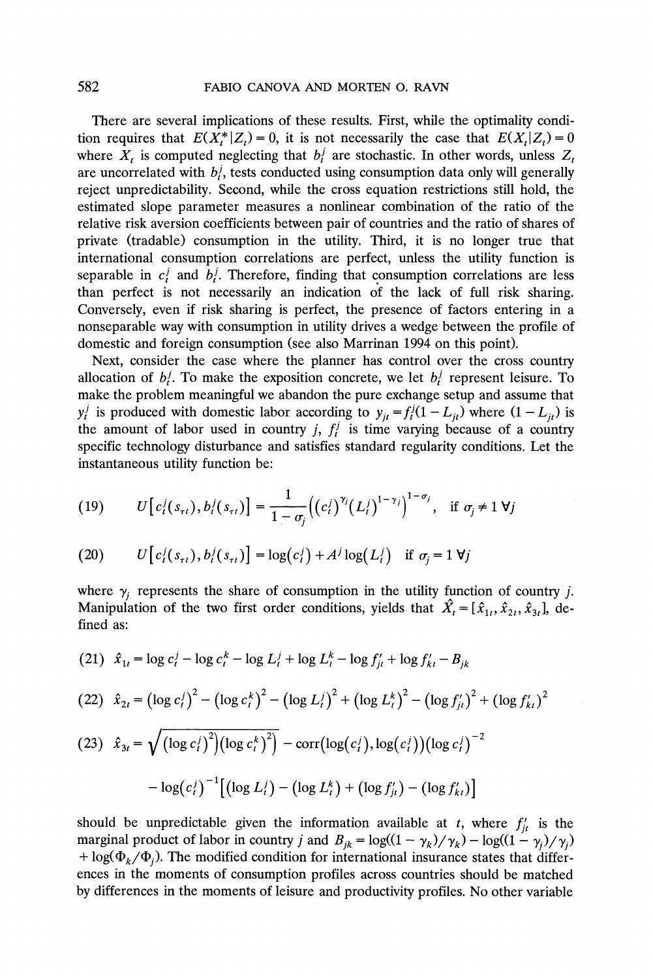**There are several implications of these results. First, while the optimality condition requires that**  $E(X_t^* | Z_t) = 0$ **, it is not necessarily the case that**  $E(X_t | Z_t) = 0$ where  $X_t$  is computed neglecting that  $b_t^j$  are stochastic. In other words, unless  $Z_t$ are uncorrelated with  $b_i^j$ , tests conducted using consumption data only will generally **reject unpredictability. Second, while the cross equation restrictions still hold, the estimated slope parameter measures a nonlinear combination of the ratio of the relative risk aversion coefficients between pair of countries and the ratio of shares of private (tradable) consumption in the utility. Third, it is no longer true that international consumption correlations are perfect, unless the utility function is**  separable in  $c_i^j$  and  $b_i^j$ . Therefore, finding that consumption correlations are less **than perfect is not necessarily an indication of the lack of full risk sharing. Conversely, even if risk sharing is perfect, the presence of factors entering in a nonseparable way with consumption in utility drives a wedge between the profile of domestic and foreign consumption (see also Marrinan 1994 on this point).** 

**Next, consider the case where the planner has control over the cross country**  allocation of  $b_i$ . To make the exposition concrete, we let  $b_i$  represent leisure. To **make the problem meaningful we abandon the pure exchange setup and assume that**   $y_t^j$  is produced with domestic labor according to  $y_{it} = f_t^j (1 - L_{it})$  where  $(1 - L_{it})$  is the amount of labor used in country *j*,  $f_t^j$  is time varying because of a country **specific technology disturbance and satisfies standard regularity conditions. Let the instantaneous utility function be:** 

(19) 
$$
U[c_i^j(s_{\tau i}), b_i^j(s_{\tau i})] = \frac{1}{1 - \sigma_j} ((c_i^j)^{\gamma_j} (L_i^j)^{1 - \gamma_j})^{1 - \sigma_j}, \text{ if } \sigma_j \neq 1 \forall j
$$

(20) 
$$
U\big[c_i^j(s_{\tau t}), b_i^j(s_{\tau t})\big] = \log(c_i^j) + A^j \log(L_i^j) \text{ if } \sigma_j = 1 \forall j
$$

where  $\gamma_j$  represents the share of consumption in the utility function of country j. **Manipulation of the two first order conditions, yields that**  $\hat{X}_t = [\hat{x}_{1t}, \hat{x}_{2t}, \hat{x}_{3t}]$ **, defined as:** 

(21) 
$$
\hat{x}_{1t} = \log c_t^j - \log c_t^k - \log L_t^j + \log L_t^k - \log f_{jt}^{\prime} + \log f_{kt}^{\prime} - B_{jk}
$$

(22) 
$$
\hat{x}_{2t} = (\log c_t^j)^2 - (\log c_t^k)^2 - (\log L_t^j)^2 + (\log L_t^k)^2 - (\log f_{it}')^2 + (\log f_{kt}')^2
$$

$$
(23) \hat{x}_{3t} = \sqrt{\left(\log c_i^j\right)^2 \left(\log c_i^k\right)^2} - \text{corr}\left(\log(c_i^j), \log(c_i^j)\right) \left(\log c_i^j\right)^{-2}
$$

$$
-\log(c_i^j)^{-1} \left[\left(\log L_i^j\right) - \left(\log L_i^k\right) + \left(\log f_{jt}^j\right) - \left(\log f_{kt}^j\right)\right]
$$

should be unpredictable given the information available at  $t$ , where  $f'_{it}$  is the **marginal product of labor in country** *j* **and**  $B_{jk} = \log((1 - \gamma_k)/\gamma_k) - \log((1 - \gamma_j)/\gamma_j)$  $+ \log(\Phi_k / \Phi_i)$ . The modified condition for international insurance states that differ**ences in the moments of consumption profiles across countries should be matched by differences in the moments of leisure and productivity profiles. No other variable**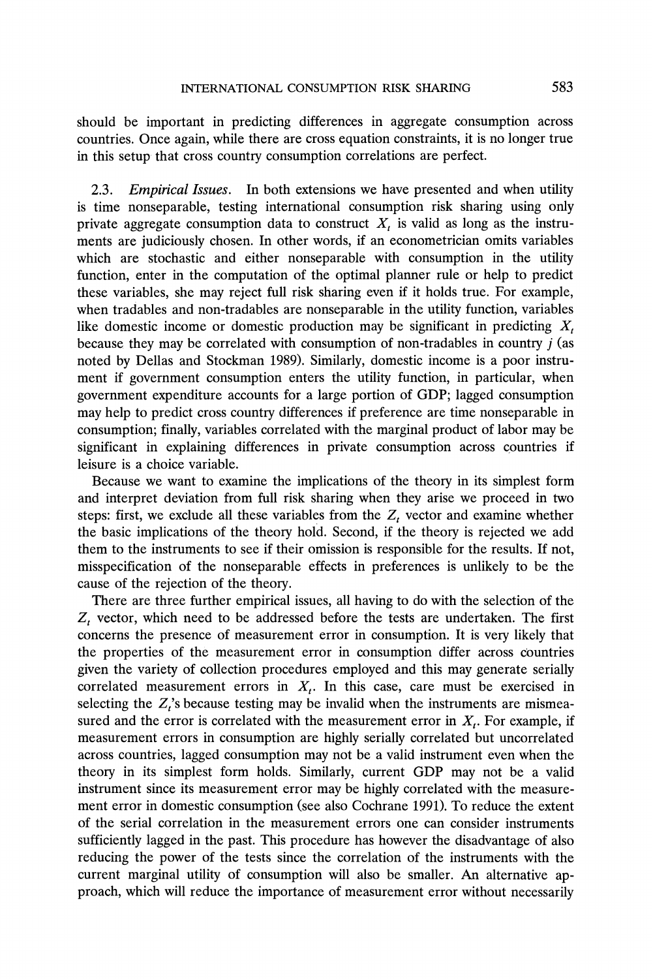**should be important in predicting differences in aggregate consumption across countries. Once again, while there are cross equation constraints, it is no longer true**  in this setup that cross country consumption correlations are perfect.

**2.3. Empirical Issues. In both extensions we have presented and when utility is time nonseparable, testing international consumption risk sharing using only**  private aggregate consumption data to construct  $X_t$  is valid as long as the instru**ments are judiciously chosen. In other words, if an econometrician omits variables which are stochastic and either nonseparable with consumption in the utility function, enter in the computation of the optimal planner rule or help to predict these variables, she may reject full risk sharing even if it holds true. For example, when tradables and non-tradables are nonseparable in the utility function, variables like domestic income or domestic production may be significant in predicting X, because they may be correlated with consumption of non-tradables in country j (as noted by Dellas and Stockman 1989). Similarly, domestic income is a poor instrument if government consumption enters the utility function, in particular, when government expenditure accounts for a large portion of GDP; lagged consumption may help to predict cross country differences if preference are time nonseparable in consumption; finally, variables correlated with the marginal product of labor may be significant in explaining differences in private consumption across countries if leisure is a choice variable.** 

**Because we want to examine the implications of the theory in its simplest form and interpret deviation from full risk sharing when they arise we proceed in two steps: first, we exclude all these variables from the Z, vector and examine whether the basic implications of the theory hold. Second, if the theory is rejected we add them to the instruments to see if their omission is responsible for the results. If not, misspecification of the nonseparable effects in preferences is unlikely to be the cause of the rejection of the theory.** 

**There are three further empirical issues, all having to do with the selection of the**   $Z_t$  vector, which need to be addressed before the tests are undertaken. The first **concerns the presence of measurement error in consumption. It is very likely that the properties of the measurement error in consumption differ across countries given the variety of collection procedures employed and this may generate serially**  correlated measurement errors in  $X_t$ . In this case, care must be exercised in selecting the  $Z_t$ 's because testing may be invalid when the instruments are mismeasured and the error is correlated with the measurement error in  $X_t$ . For example, if **measurement errors in consumption are highly serially correlated but uncorrelated across countries, lagged consumption may not be a valid instrument even when the theory in its simplest form holds. Similarly, current GDP may not be a valid instrument since its measurement error may be highly correlated with the measurement error in domestic consumption (see also Cochrane 1991). To reduce the extent of the serial correlation in the measurement errors one can consider instruments sufficiently lagged in the past. This procedure has however the disadvantage of also reducing the power of the tests since the correlation of the instruments with the current marginal utility of consumption will also be smaller. An alternative approach, which will reduce the importance of measurement error without necessarily**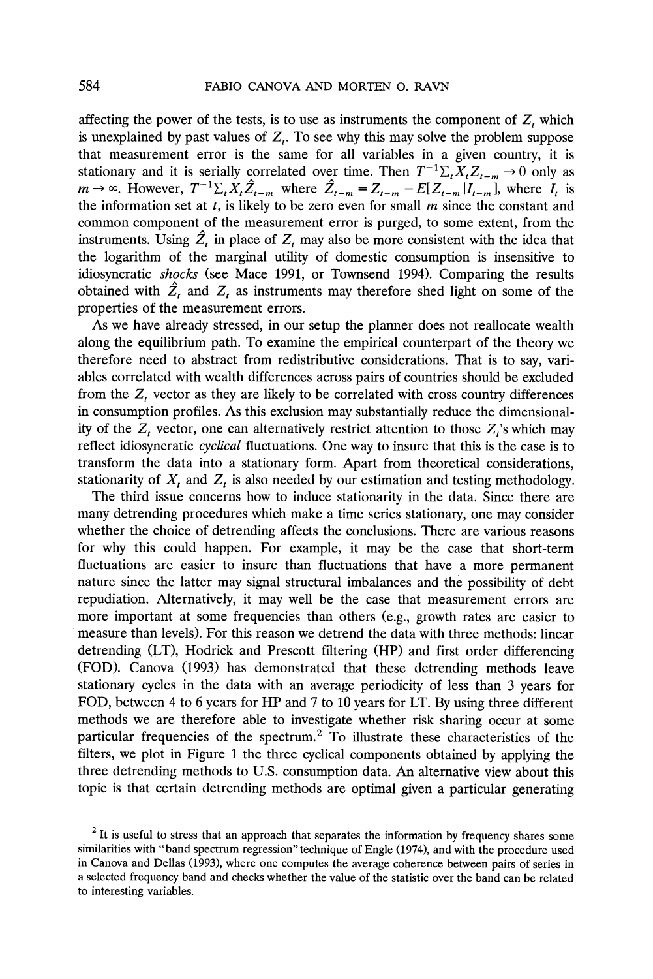affecting the power of the tests, is to use as instruments the component of  $Z_t$  which is unexplained by past values of  $Z_t$ . To see why this may solve the problem suppose **that measurement error is the same for all variables in a given country, it is**  stationary and it is serially correlated over time. Then  $T^{-1}\Sigma_t X_t Z_{t-m} \to 0$  only as  $m \to \infty$ . However,  $T^{-1}\Sigma_t X_t\hat{Z}_{t-m}$  where  $\hat{Z}_{t-m} = Z_{t-m} - E[Z_{t-m}|I_{t-m}]$ , where  $I_t$  is the information set at  $t$ , is likely to be zero even for small  $m$  since the constant and **common component of the measurement error is purged, to some extent, from the**  instruments. Using  $\hat{Z}_t$  in place of  $Z_t$  may also be more consistent with the idea that **the logarithm of the marginal utility of domestic consumption is insensitive to idiosyncratic shocks (see Mace 1991, or Townsend 1994). Comparing the results**  obtained with  $\hat{Z}_t$  and  $Z_t$  as instruments may therefore shed light on some of the **properties of the measurement errors.** 

**As we have already stressed, in our setup the planner does not reallocate wealth along the equilibrium path. To examine the empirical counterpart of the theory we therefore need to abstract from redistributive considerations. That is to say, variables correlated with wealth differences across pairs of countries should be excluded**  from the  $Z_t$  vector as they are likely to be correlated with cross country differences **in consumption profiles. As this exclusion may substantially reduce the dimensional**ity of the  $Z_t$  vector, one can alternatively restrict attention to those  $Z_t$ 's which may **reflect idiosyncratic cyclical fluctuations. One way to insure that this is the case is to transform the data into a stationary form. Apart from theoretical considerations,**  stationarity of  $X_t$  and  $Z_t$  is also needed by our estimation and testing methodology.

**The third issue concerns how to induce stationarity in the data. Since there are many detrending procedures which make a time series stationary, one may consider whether the choice of detrending affects the conclusions. There are various reasons for why this could happen. For example, it may be the case that short-term fluctuations are easier to insure than fluctuations that have a more permanent nature since the latter may signal structural imbalances and the possibility of debt repudiation. Alternatively, it may well be the case that measurement errors are more important at some frequencies than others (e.g., growth rates are easier to measure than levels). For this reason we detrend the data with three methods: linear detrending (LT), Hodrick and Prescott filtering (HP) and first order differencing (FOD). Canova (1993) has demonstrated that these detrending methods leave stationary cycles in the data with an average periodicity of less than 3 years for FOD, between 4 to 6 years for HP and 7 to 10 years for LT. By using three different methods we are therefore able to investigate whether risk sharing occur at some particular frequencies of the spectrum.2 To illustrate these characteristics of the filters, we plot in Figure 1 the three cyclical components obtained by applying the three detrending methods to U.S. consumption data. An alternative view about this topic is that certain detrending methods are optimal given a particular generating** 

**<sup>2</sup> It is useful to stress that an approach that separates the information by frequency shares some similarities with "band spectrum regression" technique of Engle (1974), and with the procedure used in Canova and Dellas (1993), where one computes the average coherence between pairs of series in a selected frequency band and checks whether the value of the statistic over the band can be related to interesting variables.**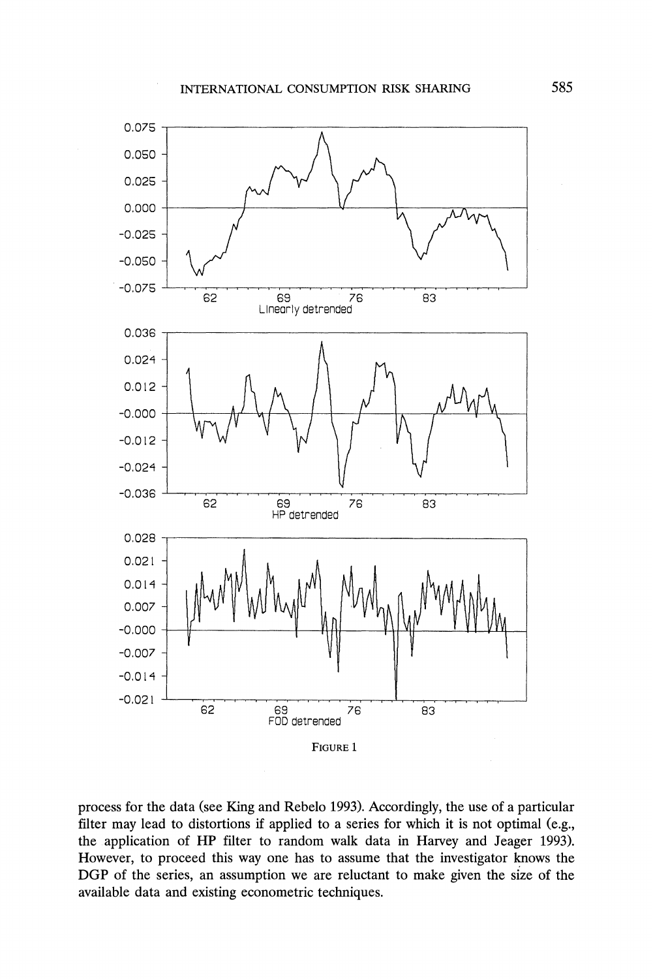

**process for the data (see King and Rebelo 1993). Accordingly, the use of a particular filter may lead to distortions if applied to a series for which it is not optimal (e.g., the application of HP filter to random walk data in Harvey and Jeager 1993). However, to proceed this way one has to assume that the investigator knows the DGP of the series, an assumption we are reluctant to make given the size of the available data and existing econometric techniques.**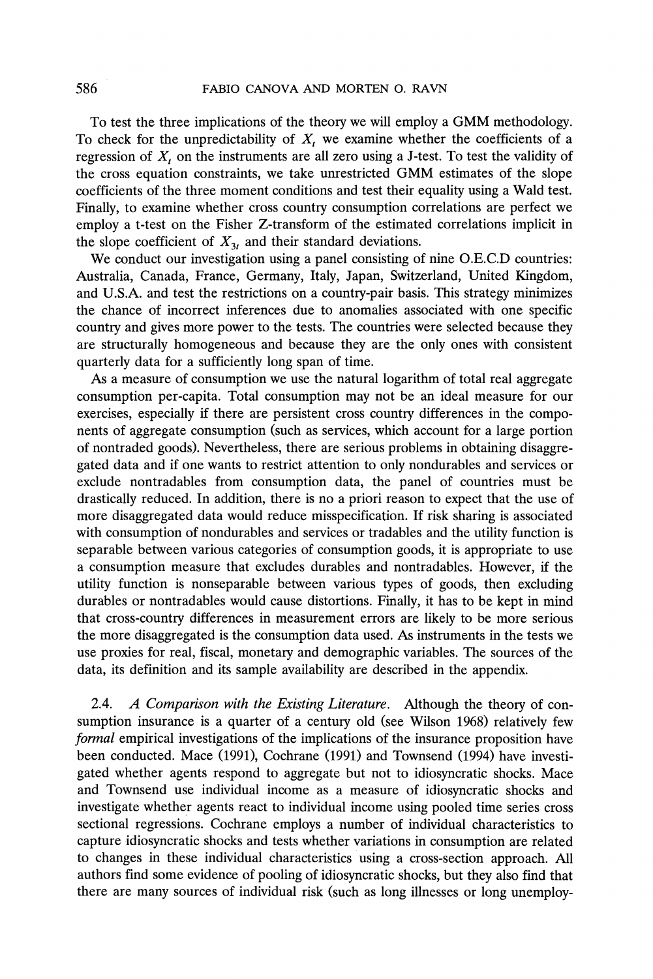**To test the three implications of the theory we will employ a GMM methodology.**  To check for the unpredictability of  $X_t$  we examine whether the coefficients of a regression of  $X_t$  on the instruments are all zero using a J-test. To test the validity of **the cross equation constraints, we take unrestricted GMM estimates of the slope coefficients of the three moment conditions and test their equality using a Wald test. Finally, to examine whether cross country consumption correlations are perfect we employ a t-test on the Fisher Z-transform of the estimated correlations implicit in**  the slope coefficient of  $X_{3}$  and their standard deviations.

**We conduct our investigation using a panel consisting of nine O.E.C.D countries: Australia, Canada, France, Germany, Italy, Japan, Switzerland, United Kingdom, and U.S.A. and test the restrictions on a country-pair basis. This strategy minimizes the chance of incorrect inferences due to anomalies associated with one specific country and gives more power to the tests. The countries were selected because they are structurally homogeneous and because they are the only ones with consistent quarterly data for a sufficiently long span of time.** 

**As a measure of consumption we use the natural logarithm of total real aggregate consumption per-capita. Total consumption may not be an ideal measure for our exercises, especially if there are persistent cross country differences in the components of aggregate consumption (such as services, which account for a large portion of nontraded goods). Nevertheless, there are serious problems in obtaining disaggregated data and if one wants to restrict attention to only nondurables and services or exclude nontradables from consumption data, the panel of countries must be drastically reduced. In addition, there is no a priori reason to expect that the use of more disaggregated data would reduce misspecification. If risk sharing is associated with consumption of nondurables and services or tradables and the utility function is separable between various categories of consumption goods, it is appropriate to use a consumption measure that excludes durables and nontradables. However, if the utility function is nonseparable between various types of goods, then excluding durables or nontradables would cause distortions. Finally, it has to be kept in mind that cross-country differences in measurement errors are likely to be more serious the more disaggregated is the consumption data used. As instruments in the tests we use proxies for real, fiscal, monetary and demographic variables. The sources of the data, its definition and its sample availability are described in the appendix.** 

**2.4. A Comparison with the Existing Literature. Although the theory of consumption insurance is a quarter of a century old (see Wilson 1968) relatively few formal empirical investigations of the implications of the insurance proposition have been conducted. Mace (1991), Cochrane (1991) and Townsend (1994) have investigated whether agents respond to aggregate but not to idiosyncratic shocks. Mace and Townsend use individual income as a measure of idiosyncratic shocks and investigate whether agents react to individual income using pooled time series cross sectional regressions. Cochrane employs a number of individual characteristics to capture idiosyncratic shocks and tests whether variations in consumption are related to changes in these individual characteristics using a cross-section approach. All authors find some evidence of pooling of idiosyncratic shocks, but they also find that there are many sources of individual risk (such as long illnesses or long unemploy-**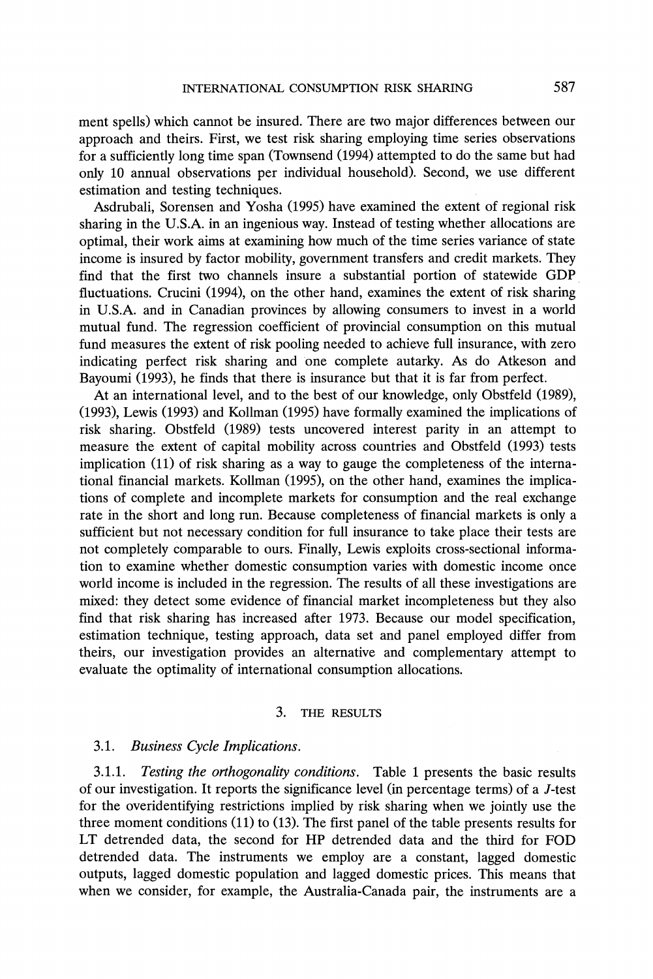**ment spells) which cannot be insured. There are two major differences between our approach and theirs. First, we test risk sharing employing time series observations for a sufficiently long time span (Townsend (1994) attempted to do the same but had only 10 annual observations per individual household). Second, we use different estimation and testing techniques.** 

**Asdrubali, Sorensen and Yosha (1995) have examined the extent of regional risk sharing in the U.S.A. in an ingenious way. Instead of testing whether allocations are optimal, their work aims at examining how much of the time series variance of state income is insured by factor mobility, government transfers and credit markets. They find that the first two channels insure a substantial portion of statewide GDP fluctuations. Crucini (1994), on the other hand, examines the extent of risk sharing in U.S.A. and in Canadian provinces by allowing consumers to invest in a world mutual fund. The regression coefficient of provincial consumption on this mutual fund measures the extent of risk pooling needed to achieve full insurance, with zero indicating perfect risk sharing and one complete autarky. As do Atkeson and Bayoumi (1993), he finds that there is insurance but that it is far from perfect.** 

**At an international level, and to the best of our knowledge, only Obstfeld (1989), (1993), Lewis (1993) and Kollman (1995) have formally examined the implications of risk sharing. Obstfeld (1989) tests uncovered interest parity in an attempt to measure the extent of capital mobility across countries and Obstfeld (1993) tests implication (11) of risk sharing as a way to gauge the completeness of the international financial markets. Kollman (1995), on the other hand, examines the implications of complete and incomplete markets for consumption and the real exchange rate in the short and long run. Because completeness of financial markets is only a sufficient but not necessary condition for full insurance to take place their tests are not completely comparable to ours. Finally, Lewis exploits cross-sectional information to examine whether domestic consumption varies with domestic income once world income is included in the regression. The results of all these investigations are mixed: they detect some evidence of financial market incompleteness but they also find that risk sharing has increased after 1973. Because our model specification, estimation technique, testing approach, data set and panel employed differ from theirs, our investigation provides an alternative and complementary attempt to evaluate the optimality of international consumption allocations.** 

## **3. THE RESULTS**

# **3.1. Business Cycle Implications.**

**3.1.1. Testing the orthogonality conditions. Table 1 presents the basic results of our investigation. It reports the significance level (in percentage terms) of a J-test for the overidentifying restrictions implied by risk sharing when we jointly use the three moment conditions (11) to (13). The first panel of the table presents results for LT detrended data, the second for HP detrended data and the third for FOD detrended data. The instruments we employ are a constant, lagged domestic outputs, lagged domestic population and lagged domestic prices. This means that when we consider, for example, the Australia-Canada pair, the instruments are a**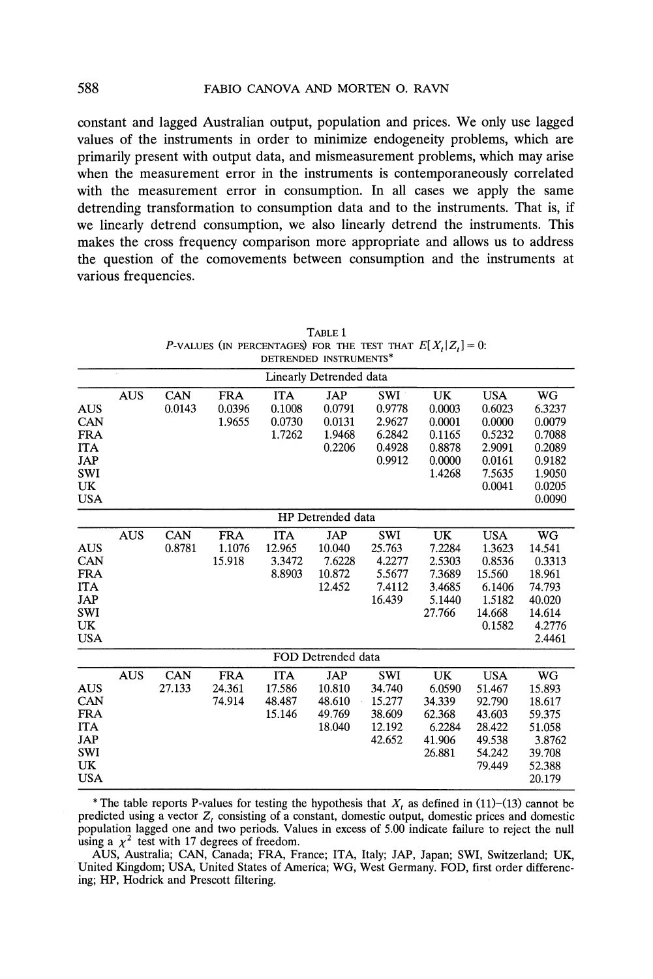**constant and lagged Australian output, population and prices. We only use lagged values of the instruments in order to minimize endogeneity problems, which are primarily present with output data, and mismeasurement problems, which may arise when the measurement error in the instruments is contemporaneously correlated with the measurement error in consumption. In all cases we apply the same detrending transformation to consumption data and to the instruments. That is, if we linearly detrend consumption, we also linearly detrend the instruments. This makes the cross frequency comparison more appropriate and allows us to address the question of the comovements between consumption and the instruments at various frequencies.** 

|                                   | Linearly Detrended data |            |            |            |                    |            |        |            |        |  |  |
|-----------------------------------|-------------------------|------------|------------|------------|--------------------|------------|--------|------------|--------|--|--|
|                                   | <b>AUS</b>              | CAN        | <b>FRA</b> | <b>ITA</b> | JAP                | SWI        | UK     | <b>USA</b> | WG     |  |  |
| <b>AUS</b>                        |                         | 0.0143     | 0.0396     | 0.1008     | 0.0791             | 0.9778     | 0.0003 | 0.6023     | 6.3237 |  |  |
| CAN                               |                         |            | 1.9655     | 0.0730     | 0.0131             | 2.9627     | 0.0001 | 0.0000     | 0.0079 |  |  |
| <b>FRA</b>                        |                         |            |            | 1.7262     | 1.9468             | 6.2842     | 0.1165 | 0.5232     | 0.7088 |  |  |
| <b>ITA</b>                        |                         |            |            |            | 0.2206             | 0.4928     | 0.8878 | 2.9091     | 0.2089 |  |  |
| <b>JAP</b>                        |                         |            |            |            |                    | 0.9912     | 0.0000 | 0.0161     | 0.9182 |  |  |
| <b>SWI</b>                        |                         |            |            |            |                    |            | 1.4268 | 7.5635     | 1.9050 |  |  |
| $\ensuremath{\mathbf{UK}}\xspace$ |                         |            |            |            |                    |            |        | 0.0041     | 0.0205 |  |  |
| <b>USA</b>                        |                         |            |            |            |                    |            |        |            | 0.0090 |  |  |
|                                   | HP Detrended data       |            |            |            |                    |            |        |            |        |  |  |
|                                   | <b>AUS</b>              | CAN        | <b>FRA</b> | <b>ITA</b> | <b>JAP</b>         | <b>SWI</b> | UK     | <b>USA</b> | WG     |  |  |
| <b>AUS</b>                        |                         | 0.8781     | 1.1076     | 12.965     | 10.040             | 25.763     | 7.2284 | 1.3623     | 14.541 |  |  |
| CAN                               |                         |            | 15.918     | 3.3472     | 7.6228             | 4.2277     | 2.5303 | 0.8536     | 0.3313 |  |  |
| <b>FRA</b>                        |                         |            |            | 8.8903     | 10.872             | 5.5677     | 7.3689 | 15.560     | 18.961 |  |  |
| <b>ITA</b>                        |                         |            |            |            | 12.452             | 7.4112     | 3.4685 | 6.1406     | 74.793 |  |  |
| <b>JAP</b>                        |                         |            |            |            |                    | 16.439     | 5.1440 | 1.5182     | 40.020 |  |  |
| SWI                               |                         |            |            |            |                    |            | 27.766 | 14.668     | 14.614 |  |  |
| <b>UK</b>                         |                         |            |            |            |                    |            |        | 0.1582     | 4.2776 |  |  |
| <b>USA</b>                        |                         |            |            |            |                    |            |        |            | 2.4461 |  |  |
|                                   |                         |            |            |            | FOD Detrended data |            |        |            |        |  |  |
|                                   | <b>AUS</b>              | <b>CAN</b> | <b>FRA</b> | <b>ITA</b> | JAP                | <b>SWI</b> | UK     | <b>USA</b> | WG     |  |  |
| <b>AUS</b>                        |                         | 27.133     | 24.361     | 17.586     | 10.810             | 34.740     | 6.0590 | 51.467     | 15.893 |  |  |
| CAN                               |                         |            | 74.914     | 48.487     | 48.610             | 15.277     | 34.339 | 92.790     | 18.617 |  |  |
| <b>FRA</b>                        |                         |            |            | 15.146     | 49.769             | 38.609     | 62.368 | 43.603     | 59.375 |  |  |
| <b>ITA</b>                        |                         |            |            |            | 18.040             | 12.192     | 6.2284 | 28.422     | 51.058 |  |  |
| JAP                               |                         |            |            |            |                    | 42.652     | 41.906 | 49.538     | 3.8762 |  |  |
| <b>SWI</b>                        |                         |            |            |            |                    |            | 26.881 | 54.242     | 39.708 |  |  |
| UK                                |                         |            |            |            |                    |            |        | 79.449     | 52.388 |  |  |
| <b>USA</b>                        |                         |            |            |            |                    |            |        |            | 20.179 |  |  |

**TABLE 1 P-VALUES** (IN PERCENTAGES) FOR THE TEST THAT  $E[X_t | Z_t] = 0$ : **DETRENDED INSTRUMENTS\*** 

\* The table reports P-values for testing the hypothesis that  $X<sub>t</sub>$  as defined in  $(11)-(13)$  cannot be predicted using a vector  $Z_t$  consisting of a constant, domestic output, domestic prices and domestic **population lagged one and two periods. Values in excess of 5.00 indicate failure to reject the null**  using a  $\chi^2$  test with 17 degrees of freedom.

**AUS, Australia; CAN, Canada; FRA, France; ITA, Italy; JAP, Japan; SWI, Switzerland; UK, United Kingdom; USA, United States of America; WG, West Germany. FOD, first order differencing; HP, Hodrick and Prescott filtering.**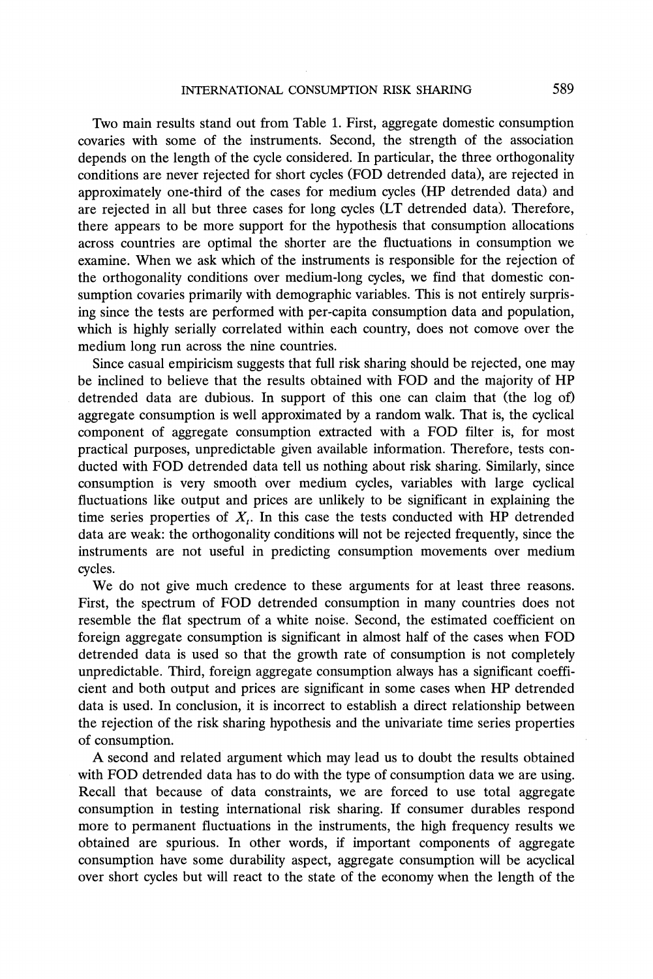**Two main results stand out from Table 1. First, aggregate domestic consumption covaries with some of the instruments. Second, the strength of the association depends on the length of the cycle considered. In particular, the three orthogonality conditions are never rejected for short cycles (FOD detrended data), are rejected in approximately one-third of the cases for medium cycles (HP detrended data) and are rejected in all but three cases for long cycles (LT detrended data). Therefore, there appears to be more support for the hypothesis that consumption allocations across countries are optimal the shorter are the fluctuations in consumption we examine. When we ask which of the instruments is responsible for the rejection of the orthogonality conditions over medium-long cycles, we find that domestic consumption covaries primarily with demographic variables. This is not entirely surprising since the tests are performed with per-capita consumption data and population, which is highly serially correlated within each country, does not comove over the medium long run across the nine countries.** 

**Since casual empiricism suggests that full risk sharing should be rejected, one may be inclined to believe that the results obtained with FOD and the majority of HP detrended data are dubious. In support of this one can claim that (the log of) aggregate consumption is well approximated by a random walk. That is, the cyclical component of aggregate consumption extracted with a FOD filter is, for most practical purposes, unpredictable given available information. Therefore, tests conducted with FOD detrended data tell us nothing about risk sharing. Similarly, since consumption is very smooth over medium cycles, variables with large cyclical fluctuations like output and prices are unlikely to be significant in explaining the**  time series properties of  $X_t$ . In this case the tests conducted with HP detrended **data are weak: the orthogonality conditions will not be rejected frequently, since the instruments are not useful in predicting consumption movements over medium cycles.** 

**We do not give much credence to these arguments for at least three reasons. First, the spectrum of FOD detrended consumption in many countries does not resemble the flat spectrum of a white noise. Second, the estimated coefficient on foreign aggregate consumption is significant in almost half of the cases when FOD detrended data is used so that the growth rate of consumption is not completely unpredictable. Third, foreign aggregate consumption always has a significant coefficient and both output and prices are significant in some cases when HP detrended data is used. In conclusion, it is incorrect to establish a direct relationship between the rejection of the risk sharing hypothesis and the univariate time series properties of consumption.** 

**A second and related argument which may lead us to doubt the results obtained with FOD detrended data has to do with the type of consumption data we are using. Recall that because of data constraints, we are forced to use total aggregate consumption in testing international risk sharing. If consumer durables respond more to permanent fluctuations in the instruments, the high frequency results we obtained are spurious. In other words, if important components of aggregate consumption have some durability aspect, aggregate consumption will be acyclical over short cycles but will react to the state of the economy when the length of the**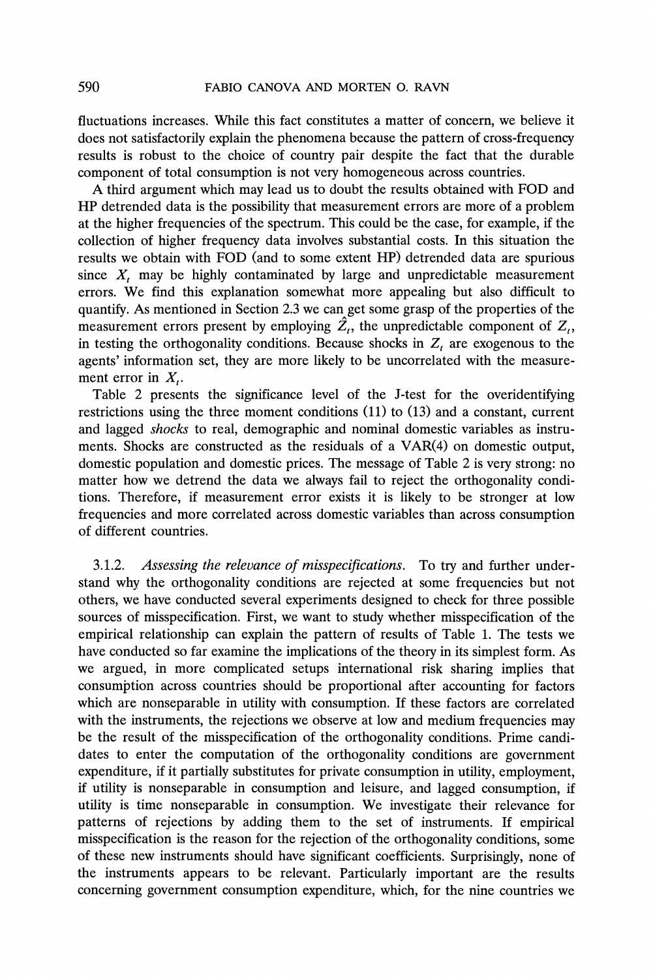**fluctuations increases. While this fact constitutes a matter of concern, we believe it does not satisfactorily explain the phenomena because the pattern of cross-frequency results is robust to the choice of country pair despite the fact that the durable component of total consumption is not very homogeneous across countries.** 

**A third argument which may lead us to doubt the results obtained with FOD and HP detrended data is the possibility that measurement errors are more of a problem at the higher frequencies of the spectrum. This could be the case, for example, if the collection of higher frequency data involves substantial costs. In this situation the results we obtain with FOD (and to some extent HP) detrended data are spurious since X, may be highly contaminated by large and unpredictable measurement errors. We find this explanation somewhat more appealing but also difficult to quantify. As mentioned in Section 2.3 we can get some grasp of the properties of the**  measurement errors present by employing  $\hat{Z}_t$ , the unpredictable component of  $Z_t$ , in testing the orthogonality conditions. Because shocks in  $Z_t$  are exogenous to the **agents' information set, they are more likely to be uncorrelated with the measure**ment error in  $X_t$ .

**Table 2 presents the significance level of the J-test for the overidentifying restrictions using the three moment conditions (11) to (13) and a constant, current and lagged shocks to real, demographic and nominal domestic variables as instruments. Shocks are constructed as the residuals of a VAR(4) on domestic output, domestic population and domestic prices. The message of Table 2 is very strong: no matter how we detrend the data we always fail to reject the orthogonality conditions. Therefore, if measurement error exists it is likely to be stronger at low frequencies and more correlated across domestic variables than across consumption of different countries.** 

**3.1.2. Assessing the relevance of misspecifications. To try and further understand why the orthogonality conditions are rejected at some frequencies but not others, we have conducted several experiments designed to check for three possible sources of misspecification. First, we want to study whether misspecification of the empirical relationship can explain the pattern of results of Table 1. The tests we have conducted so far examine the implications of the theory in its simplest form. As we argued, in more complicated setups international risk sharing implies that consumption across countries should be proportional after accounting for factors which are nonseparable in utility with consumption. If these factors are correlated**  with the instruments, the rejections we observe at low and medium frequencies may **be the result of the misspecification of the orthogonality conditions. Prime candidates to enter the computation of the orthogonality conditions are government expenditure, if it partially substitutes for private consumption in utility, employment, if utility is nonseparable in consumption and leisure, and lagged consumption, if utility is time nonseparable in consumption. We investigate their relevance for patterns of rejections by adding them to the set of instruments. If empirical misspecification is the reason for the rejection of the orthogonality conditions, some of these new instruments should have significant coefficients. Surprisingly, none of the instruments appears to be relevant. Particularly important are the results concerning government consumption expenditure, which, for the nine countries we**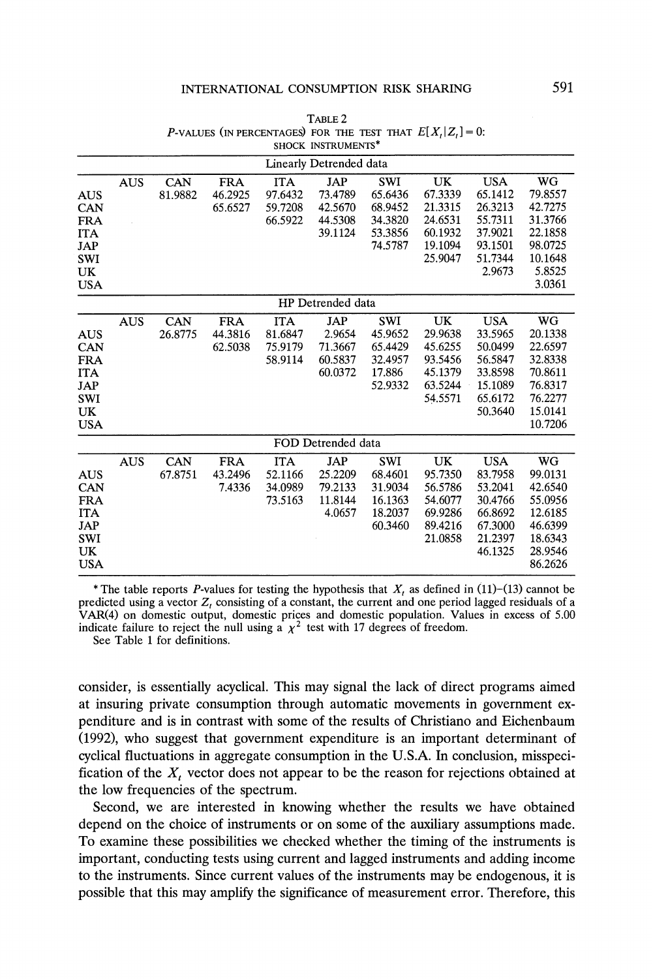|                                                                                                      | SHOCK INSTRUMENTS* |                |                                  |                                             |                                                       |                                                                   |                                                                             |                                                                                         |                                                                                                   |  |
|------------------------------------------------------------------------------------------------------|--------------------|----------------|----------------------------------|---------------------------------------------|-------------------------------------------------------|-------------------------------------------------------------------|-----------------------------------------------------------------------------|-----------------------------------------------------------------------------------------|---------------------------------------------------------------------------------------------------|--|
|                                                                                                      |                    |                |                                  |                                             | Linearly Detrended data                               |                                                                   |                                                                             |                                                                                         |                                                                                                   |  |
| <b>AUS</b><br><b>CAN</b><br><b>FRA</b><br><b>ITA</b><br><b>JAP</b><br><b>SWI</b><br>UK<br><b>USA</b> | <b>AUS</b>         | CAN<br>81.9882 | <b>FRA</b><br>46.2925<br>65.6527 | <b>ITA</b><br>97.6432<br>59.7208<br>66.5922 | JAP<br>73.4789<br>42.5670<br>44.5308<br>39.1124       | <b>SWI</b><br>65.6436<br>68.9452<br>34.3820<br>53.3856<br>74.5787 | <b>UK</b><br>67.3339<br>21.3315<br>24.6531<br>60.1932<br>19.1094<br>25.9047 | <b>USA</b><br>65.1412<br>26.3213<br>55.7311<br>37.9021<br>93.1501<br>51.7344<br>2.9673  | WG<br>79.8557<br>42.7275<br>31.3766<br>22.1858<br>98.0725<br>10.1648<br>5.8525<br>3.0361          |  |
|                                                                                                      | HP Detrended data  |                |                                  |                                             |                                                       |                                                                   |                                                                             |                                                                                         |                                                                                                   |  |
| <b>AUS</b><br><b>CAN</b><br><b>FRA</b><br><b>ITA</b><br><b>JAP</b><br><b>SWI</b><br>UK<br><b>USA</b> | <b>AUS</b>         | CAN<br>26.8775 | <b>FRA</b><br>44.3816<br>62.5038 | <b>ITA</b><br>81.6847<br>75.9179<br>58.9114 | <b>JAP</b><br>2.9654<br>71.3667<br>60.5837<br>60.0372 | <b>SWI</b><br>45.9652<br>65.4429<br>32.4957<br>17.886<br>52.9332  | UK<br>29.9638<br>45.6255<br>93.5456<br>45.1379<br>63.5244<br>54.5571        | <b>USA</b><br>33.5965<br>50.0499<br>56.5847<br>33.8598<br>15.1089<br>65.6172<br>50.3640 | <b>WG</b><br>20.1338<br>22.6597<br>32.8338<br>70.8611<br>76.8317<br>76.2277<br>15.0141<br>10.7206 |  |
|                                                                                                      |                    |                |                                  |                                             | FOD Detrended data                                    |                                                                   |                                                                             |                                                                                         |                                                                                                   |  |
| <b>AUS</b><br><b>CAN</b><br><b>FRA</b><br><b>ITA</b><br><b>JAP</b><br><b>SWI</b><br>UK<br><b>USA</b> | <b>AUS</b>         | CAN<br>67.8751 | <b>FRA</b><br>43.2496<br>7.4336  | <b>ITA</b><br>52.1166<br>34.0989<br>73.5163 | JAP<br>25.2209<br>79.2133<br>11.8144<br>4.0657        | <b>SWI</b><br>68.4601<br>31.9034<br>16.1363<br>18.2037<br>60.3460 | UK<br>95.7350<br>56.5786<br>54.6077<br>69.9286<br>89.4216<br>21.0858        | <b>USA</b><br>83.7958<br>53.2041<br>30.4766<br>66.8692<br>67.3000<br>21.2397<br>46.1325 | <b>WG</b><br>99.0131<br>42.6540<br>55.0956<br>12.6185<br>46.6399<br>18.6343<br>28.9546<br>86.2626 |  |

**TABLE 2 P-VALUES** (IN PERCENTAGES) FOR THE TEST THAT  $E[X_t|Z_t] = 0$ :

\* The table reports P-values for testing the hypothesis that  $X_t$  as defined in (11)-(13) cannot be **predicted using a vector Z, consisting of a constant, the current and one period lagged residuals of a VAR(4) on domestic output, domestic prices and domestic population. Values in excess of 5.00**  indicate failure to reject the null using a  $\chi^2$  test with 17 degrees of freedom.

**See Table 1 for definitions.** 

**consider, is essentially acyclical. This may signal the lack of direct programs aimed at insuring private consumption through automatic movements in government expenditure and is in contrast with some of the results of Christiano and Eichenbaum (1992), who suggest that government expenditure is an important determinant of cyclical fluctuations in aggregate consumption in the U.S.A. In conclusion, misspecification of the X, vector does not appear to be the reason for rejections obtained at the low frequencies of the spectrum.** 

**Second, we are interested in knowing whether the results we have obtained depend on the choice of instruments or on some of the auxiliary assumptions made. To examine these possibilities we checked whether the timing of the instruments is important, conducting tests using current and lagged instruments and adding income to the instruments. Since current values of the instruments may be endogenous, it is possible that this may amplify the significance of measurement error. Therefore, this**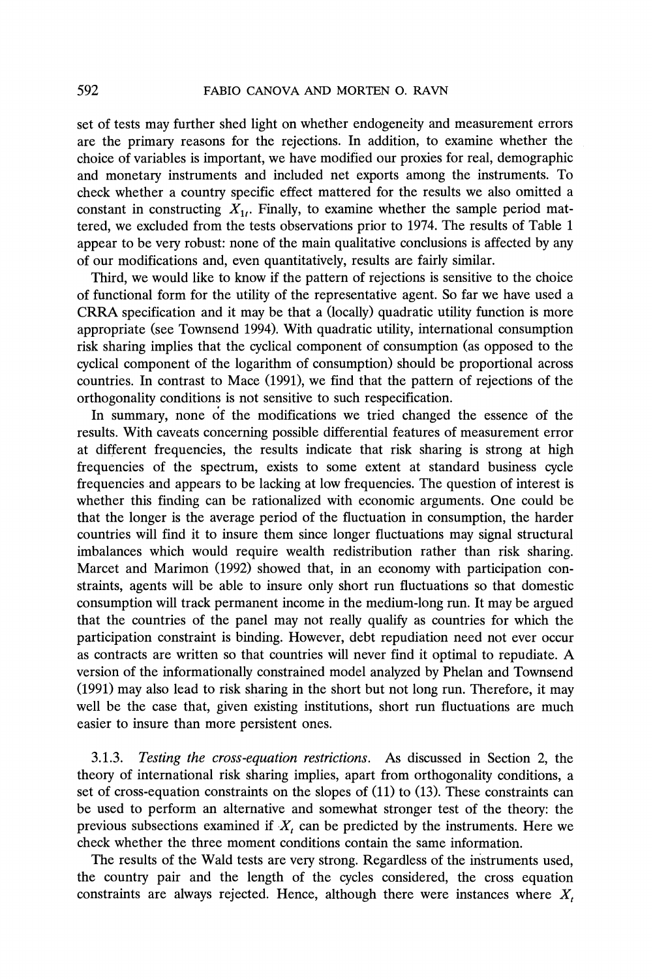**set of tests may further shed light on whether endogeneity and measurement errors are the primary reasons for the rejections. In addition, to examine whether the choice of variables is important, we have modified our proxies for real, demographic and monetary instruments and included net exports among the instruments. To check whether a country specific effect mattered for the results we also omitted a**  constant in constructing  $X_{1i}$ . Finally, to examine whether the sample period mat**tered, we excluded from the tests observations prior to 1974. The results of Table 1 appear to be very robust: none of the main qualitative conclusions is affected by any of our modifications and, even quantitatively, results are fairly similar.** 

**Third, we would like to know if the pattern of rejections is sensitive to the choice of functional form for the utility of the representative agent. So far we have used a CRRA specification and it may be that a (locally) quadratic utility function is more appropriate (see Townsend 1994). With quadratic utility, international consumption risk sharing implies that the cyclical component of consumption (as opposed to the cyclical component of the logarithm of consumption) should be proportional across countries. In contrast to Mace (1991), we find that the pattern of rejections of the orthogonality conditions is not sensitive to such respecification.** 

**In summary, none of the modifications we tried changed the essence of the results. With caveats concerning possible differential features of measurement error at different frequencies, the results indicate that risk sharing is strong at high frequencies of the spectrum, exists to some extent at standard business cycle frequencies and appears to be lacking at low frequencies. The question of interest is whether this finding can be rationalized with economic arguments. One could be that the longer is the average period of the fluctuation in consumption, the harder countries will find it to insure them since longer fluctuations may signal structural imbalances which would require wealth redistribution rather than risk sharing. Marcet and Marimon' (1992) showed that, in an economy with participation constraints, agents will be able to insure only short run fluctuations so that domestic consumption will track permanent income in the medium-long run. It may be argued that the countries of the panel may not really qualify as countries for which the participation constraint is binding. However, debt repudiation need not ever occur as contracts are written so that countries will never find it optimal to repudiate. A version of the informationally constrained model analyzed by Phelan and Townsend (1991) may also lead to risk sharing in the short but not long run. Therefore, it may well be the case that, given existing institutions, short run fluctuations are much easier to insure than more persistent ones.** 

**3.1.3. Testing the cross-equation restrictions. As discussed in Section 2, the theory of international risk sharing implies, apart from orthogonality conditions, a set of cross-equation constraints on the slopes of (11) to (13). These constraints can be used to perform an alternative and somewhat stronger test of the theory: the**  previous subsections examined if  $X_t$  can be predicted by the instruments. Here we **check whether the three moment conditions contain the same information.** 

**The results of the Wald tests are very strong. Regardless of the instruments used, the country pair and the length of the cycles considered, the cross equation**  constraints are always rejected. Hence, although there were instances where  $X_t$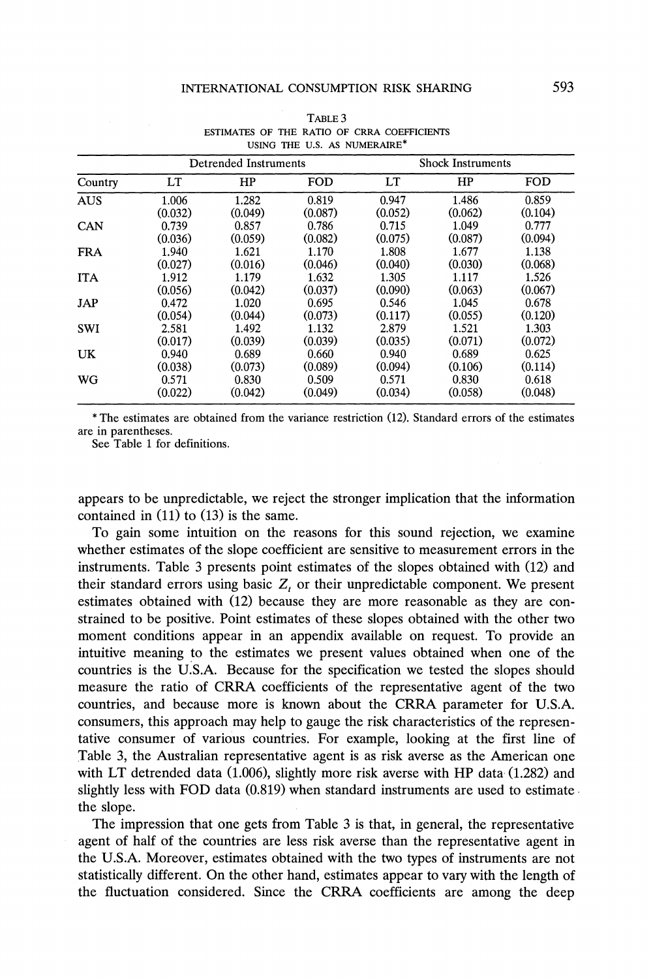|            |         | <b>Detrended Instruments</b> |            |         | <b>Shock Instruments</b> |         |  |  |  |
|------------|---------|------------------------------|------------|---------|--------------------------|---------|--|--|--|
| Country    | LT      | HP                           | <b>FOD</b> | LT      | HP                       | FOD     |  |  |  |
| <b>AUS</b> | 1.006   | 1.282                        | 0.819      | 0.947   | 1.486                    | 0.859   |  |  |  |
|            | (0.032) | (0.049)                      | (0.087)    | (0.052) | (0.062)                  | (0.104) |  |  |  |
| <b>CAN</b> | 0.739   | 0.857                        | 0.786      | 0.715   | 1.049                    | 0.777   |  |  |  |
|            | (0.036) | (0.059)                      | (0.082)    | (0.075) | (0.087)                  | (0.094) |  |  |  |
| <b>FRA</b> | 1.940   | 1.621                        | 1.170      | 1.808   | 1.677                    | 1.138   |  |  |  |
|            | (0.027) | (0.016)                      | (0.046)    | (0.040) | (0.030)                  | (0.068) |  |  |  |
| <b>ITA</b> | 1.912   | 1.179                        | 1.632      | 1.305   | 1.117                    | 1.526   |  |  |  |
|            | (0.056) | (0.042)                      | (0.037)    | (0.090) | (0.063)                  | (0.067) |  |  |  |
| <b>JAP</b> | 0.472   | 1.020                        | 0.695      | 0.546   | 1.045                    | 0.678   |  |  |  |
|            | (0.054) | (0.044)                      | (0.073)    | (0.117) | (0.055)                  | (0.120) |  |  |  |
| <b>SWI</b> | 2.581   | 1.492                        | 1.132      | 2.879   | 1.521                    | 1.303   |  |  |  |
|            | (0.017) | (0.039)                      | (0.039)    | (0.035) | (0.071)                  | (0.072) |  |  |  |
| UK         | 0.940   | 0.689                        | 0.660      | 0.940   | 0.689                    | 0.625   |  |  |  |
|            | (0.038) | (0.073)                      | (0.089)    | (0.094) | (0.106)                  | (0.114) |  |  |  |
| WG         | 0.571   | 0.830                        | 0.509      | 0.571   | 0.830                    | 0.618   |  |  |  |
|            | (0.022) | (0.042)                      | (0.049)    | (0.034) | (0.058)                  | (0.048) |  |  |  |

**TABLE 3 ESTIMATES OF THE RATIO OF CRRA COEFFICIENTS USING THE U.S. AS NUMERAIRE\*** 

**\* The estimates are obtained from the variance restriction (12). Standard errors of the estimates are in parentheses.** 

**See Table 1 for definitions.** 

**appears to be unpredictable, we reject the stronger implication that the information contained in (11) to (13) is the same.** 

**To gain some intuition on the reasons for this sound rejection, we examine whether estimates of the slope coefficient are sensitive to measurement errors in the instruments. Table 3 presents point estimates of the slopes obtained with (12) and their standard errors using basic Z, or their unpredictable component. We present estimates obtained with (12) because they are more reasonable as they are constrained to be positive. Point estimates of these slopes obtained with the other two moment conditions appear in an appendix available on request. To provide an intuitive meaning to the estimates we present values obtained when one of the countries is the U.S.A. Because for the specification we tested the slopes should measure the ratio of CRRA coefficients of the representative agent of the two countries, and because more is known about the CRRA parameter for U.S.A. consumers, this approach may help to gauge the risk characteristics of the representative consumer of various countries. For example, looking at the first line of Table 3, the Australian representative agent is as risk averse as the American one with LT detrended data (1.006), slightly more risk averse with HP data (1.282) and slightly less with FOD data (0.819) when standard instruments are used to estimate. the slope.** 

**The impression that one gets from Table 3 is that, in general, the representative agent of half of the countries are less risk averse than the representative agent in the U.S.A. Moreover, estimates obtained with the two types of instruments are not statistically different. On the other hand, estimates appear to vary with the length of the fluctuation considered. Since the CRRA coefficients are among the deep**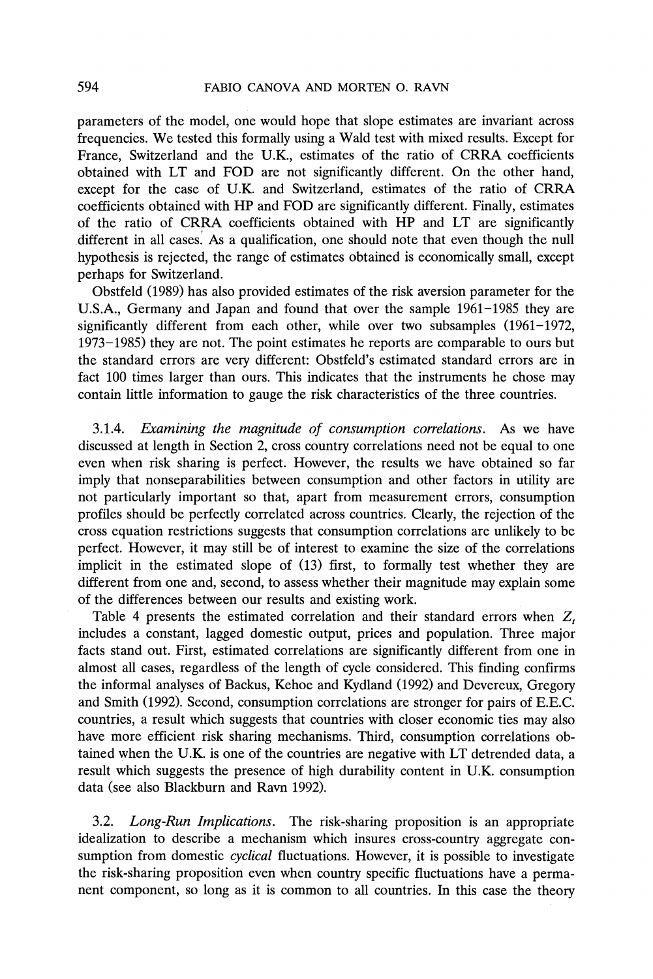**parameters of the model, one would hope that slope estimates are invariant across frequencies. We tested this formally using a Wald test with mixed results. Except for France, Switzerland and the U.K., estimates of the ratio of CRRA coefficients obtained with LT and FOD are not significantly different. On the other hand, except for the case of U.K. and Switzerland, estimates of the ratio of CRRA coefficients obtained with HP and FOD are significantly different. Finally, estimates of the ratio of CRRA coefficients obtained with HP and LT are significantly different in all cases. As a qualification, one should note that even though the null hypothesis is rejected, the range of estimates obtained is economically small, except perhaps for Switzerland.** 

**Obstfeld (1989) has also provided estimates of the risk aversion parameter for the U.S.A., Germany and Japan and found that over the sample 1961-1985 they are significantly different from each other, while over two subsamples (1961-1972, 1973-1985) they are not. The point estimates he reports are comparable to ours but the standard errors are very different: Obstfeld's estimated standard errors are in fact 100 times larger than ours. This indicates that the instruments he chose may contain little information to gauge the risk characteristics of the three countries.** 

**3.1.4. Examining the magnitude of consumption correlations. As we have discussed at length in Section 2, cross country correlations need not be equal to one even when risk sharing is perfect. However, the results we have obtained so far imply that nonseparabilities between consumption and other factors in utility are not particularly important so that, apart from measurement errors, consumption profiles should be perfectly correlated across countries. Clearly, the rejection of the cross equation restrictions suggests that consumption correlations are unlikely to be perfect. However, it may still be of interest to examine the size of the correlations implicit in the estimated slope of (13) first, to formally test whether they are different from one and, second, to assess whether their magnitude may explain some of the differences between our results and existing work.** 

Table 4 presents the estimated correlation and their standard errors when  $Z_t$ **includes a constant, lagged domestic output, prices and population. Three major facts stand out. First, estimated correlations are significantly different from one in almost all cases, regardless of the length of cycle considered. This finding confirms the informal analyses of Backus, Kehoe and Kydland (1992) and Devereux, Gregory and Smith (1992). Second, consumption correlations are stronger for pairs of E.E.C. countries, a result which suggests that countries with closer economic ties may also have more efficient risk sharing mechanisms. Third, consumption correlations obtained when the U.K. is one of the countries are negative with LT detrended data, a result which suggests the presence of high durability content in U.K. consumption data (see also Blackburn and Ravn 1992).** 

**3.2. Long-Run Implications. The risk-sharing proposition is an appropriate idealization to describe a mechanism which insures cross-country aggregate consumption from domestic cyclical fluctuations. However, it is possible to investigate the risk-sharing proposition even when country specific fluctuations have a permanent component, so long as it is common to all countries. In this case the theory**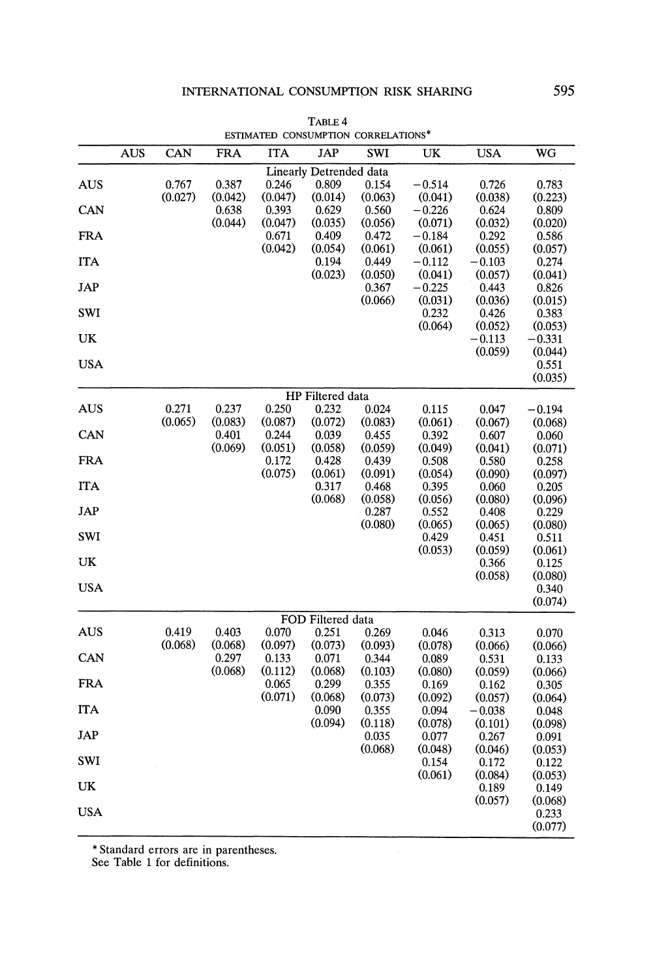|            |            |         | COINNAICD        |                  | <b>CONSOME LION</b>     | CONNELATIONS     |                     |                  |                  |
|------------|------------|---------|------------------|------------------|-------------------------|------------------|---------------------|------------------|------------------|
|            | <b>AUS</b> | CAN     | <b>FRA</b>       | <b>ITA</b>       | <b>JAP</b>              | SWI              | UK                  | <b>USA</b>       | WG               |
|            |            |         |                  |                  | Linearly Detrended data |                  |                     |                  |                  |
| <b>AUS</b> |            | 0.767   | 0.387            | 0.246            | 0.809                   | 0.154            | $-0.514$            | 0.726            | 0.783            |
|            |            | (0.027) | (0.042)          | (0.047)          | (0.014)                 | (0.063)          | (0.041)             | (0.038)          | (0.223)          |
| CAN        |            |         | 0.638            | 0.393            | 0.629                   | 0.560            | $-0.226$            | 0.624            | 0.809            |
| <b>FRA</b> |            |         | (0.044)          | (0.047)<br>0.671 | (0.035)<br>0.409        | (0.056)<br>0.472 | (0.071)<br>$-0.184$ | (0.032)<br>0.292 | (0.020)<br>0.586 |
|            |            |         |                  | (0.042)          | (0.054)                 | (0.061)          | (0.061)             | (0.055)          | (0.057)          |
| <b>ITA</b> |            |         |                  |                  | 0.194                   | 0.449            | $-0.112$            | $-0.103$         | 0.274            |
|            |            |         |                  |                  | (0.023)                 | (0.050)          | (0.041)             | (0.057)          | (0.041)          |
| JAP        |            |         |                  |                  |                         | 0.367            | $-0.225$            | 0.443            | 0.826            |
|            |            |         |                  |                  |                         | (0.066)          | (0.031)             | (0.036)          | (0.015)          |
| <b>SWI</b> |            |         |                  |                  |                         |                  | 0.232<br>(0.064)    | 0.426<br>(0.052) | 0.383<br>(0.053) |
| UK         |            |         |                  |                  |                         |                  |                     | $-0.113$         | $-0.331$         |
|            |            |         |                  |                  |                         |                  |                     | (0.059)          | (0.044)          |
| <b>USA</b> |            |         |                  |                  |                         |                  |                     |                  | 0.551            |
|            |            |         |                  |                  |                         |                  |                     |                  | (0.035)          |
|            |            |         |                  |                  | HP Filtered data        |                  |                     |                  |                  |
| <b>AUS</b> |            | 0.271   | 0.237            | 0.250            | 0.232                   | 0.024            | 0.115               | 0.047            | $-0.194$         |
|            |            | (0.065) | (0.083)          | (0.087)          | (0.072)                 | (0.083)          | (0.061)             | (0.067)          | (0.068)          |
| CAN        |            |         | 0.401<br>(0.069) | 0.244            | 0.039<br>(0.058)        | 0.455            | 0.392               | 0.607            | 0.060            |
| <b>FRA</b> |            |         |                  | (0.051)<br>0.172 | 0.428                   | (0.059)<br>0.439 | (0.049)<br>0.508    | (0.041)<br>0.580 | (0.071)<br>0.258 |
|            |            |         |                  | (0.075)          | (0.061)                 | (0.091)          | (0.054)             | (0.090)          | (0.097)          |
| <b>ITA</b> |            |         |                  |                  | 0.317                   | 0.468            | 0.395               | 0.060            | 0.205            |
|            |            |         |                  |                  | (0.068)                 | (0.058)          | (0.056)             | (0.080)          | (0.096)          |
| JAP        |            |         |                  |                  |                         | 0.287            | 0.552               | 0.408            | 0.229            |
|            |            |         |                  |                  |                         | (0.080)          | (0.065)             | (0.065)          | (0.080)          |
| <b>SWI</b> |            |         |                  |                  |                         |                  | 0.429<br>(0.053)    | 0.451<br>(0.059) | 0.511<br>(0.061) |
| UK         |            |         |                  |                  |                         |                  |                     | 0.366            | 0.125            |
|            |            |         |                  |                  |                         |                  |                     | (0.058)          | (0.080)          |
| <b>USA</b> |            |         |                  |                  |                         |                  |                     |                  | 0.340            |
|            |            |         |                  |                  |                         |                  |                     |                  | (0.074)          |
|            |            |         |                  |                  | FOD Filtered data       |                  |                     |                  |                  |
| <b>AUS</b> |            | 0.419   | 0.403            | 0.070            | 0.251                   | 0.269            | 0.046               | 0.313            | 0.070            |
|            |            | (0.068) | (0.068)          | (0.097)          | (0.073)                 | (0.093)          | (0.078)             | (0.066)          | (0.066)          |
| CAN        |            |         | 0.297<br>(0.068) | 0.133<br>(0.112) | 0.071<br>(0.068)        | 0.344<br>(0.103) | 0.089               | 0.531            | 0.133            |
| <b>FRA</b> |            |         |                  | 0.065            | 0.299                   | 0.355            | (0.080)<br>0.169    | (0.059)<br>0.162 | (0.066)<br>0.305 |
|            |            |         |                  | (0.071)          | (0.068)                 | (0.073)          | (0.092)             | (0.057)          | (0.064)          |
| <b>ITA</b> |            |         |                  |                  | 0.090                   | 0.355            | 0.094               | $-0.038$         | 0.048            |
|            |            |         |                  |                  | (0.094)                 | (0.118)          | (0.078)             | (0.101)          | (0.098)          |
| JAP        |            |         |                  |                  |                         | 0.035            | 0.077               | 0.267            | 0.091            |
|            |            |         |                  |                  |                         | (0.068)          | (0.048)             | (0.046)          | (0.053)          |
| SWI        |            |         |                  |                  |                         |                  | 0.154<br>(0.061)    | 0.172            | 0.122            |
| UK         |            |         |                  |                  |                         |                  |                     | (0.084)<br>0.189 | (0.053)<br>0.149 |
|            |            |         |                  |                  |                         |                  |                     | (0.057)          | (0.068)          |
| <b>USA</b> |            |         |                  |                  |                         |                  |                     |                  | 0.233            |
|            |            |         |                  |                  |                         |                  |                     |                  | (0.077)          |

**TABLE 4 ESTIMATED CONSUMPTION CORRELATIONS\*** 

**\* Standard errors are in parentheses.** 

**See Table 1 for definitions.**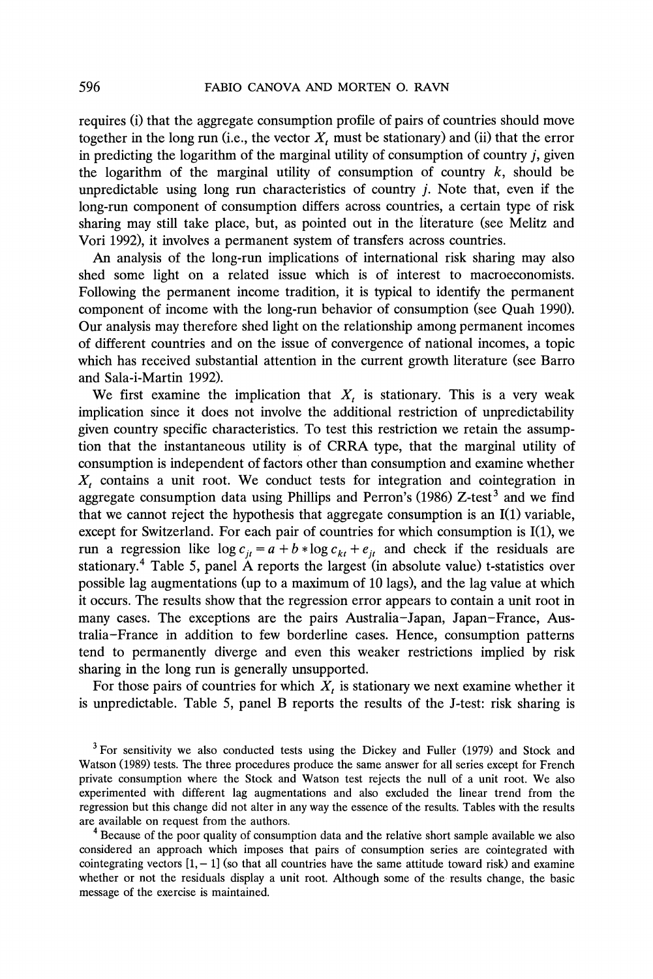**requires (i) that the aggregate consumption profile of pairs of countries should move**  together in the long run (i.e., the vector  $X_t$  must be stationary) and (ii) that the error **in predicting the logarithm of the marginal utility of consumption of country j, given**  the logarithm of the marginal utility of consumption of country  $k$ , should be **unpredictable using long run characteristics of country j. Note that, even if the long-run component of consumption differs across countries, a certain type of risk sharing may still take place, but, as pointed out in the literature (see Melitz and Vori 1992), it involves a permanent system of transfers across countries.** 

**An analysis of the long-run implications of international risk sharing may also shed some light on a related issue which is of interest to macroeconomists. Following the permanent income tradition, it is typical to identify the permanent component of income with the long-run behavior of consumption (see Quah 1990). Our analysis may therefore shed light on the relationship among permanent incomes of different countries and on the issue of convergence of national incomes, a topic which has received substantial attention in the current growth literature (see Barro and Sala-i-Martin 1992).** 

We first examine the implication that  $X_t$  is stationary. This is a very weak **implication since it does not involve the additional restriction of unpredictability given country specific characteristics. To test this restriction we retain the assumption that the instantaneous utility is of CRRA type, that the marginal utility of consumption is independent of factors other than consumption and examine whether**  X<sub>t</sub> contains a unit root. We conduct tests for integration and cointegration in aggregate consumption data using Phillips and Perron's  $(1986)$  Z-test<sup>3</sup> and we find **that we cannot reject the hypothesis that aggregate consumption is an I(1) variable, except for Switzerland. For each pair of countries for which consumption is I(1), we**  run a regression like  $\log c_{it} = a + b * \log c_{kt} + e_{it}$  and check if the residuals are **stationary.4 Table 5, panel A reports the largest (in absolute value) t-statistics over possible lag augmentations (up to a maximum of 10 lags), and the lag value at which it occurs. The results show that the regression error appears to contain a unit root in many cases. The exceptions are the pairs Australia-Japan, Japan-France, Australia-France in addition to few borderline cases. Hence, consumption patterns tend to permanently diverge and even this weaker restrictions implied by risk sharing in the long run is generally unsupported.** 

For those pairs of countries for which  $X_t$  is stationary we next examine whether it **is unpredictable. Table 5, panel B reports the results of the J-test: risk sharing is** 

**4Because of the poor quality of consumption data and the relative short sample available we also considered an approach which imposes that pairs of consumption series are cointegrated with**  cointegrating vectors  $[1, -1]$  (so that all countries have the same attitude toward risk) and examine **whether or not the residuals display a unit root. Although some of the results change, the basic message of the exercise is maintained.** 

**<sup>3</sup>For sensitivity we also conducted tests using the Dickey and Fuller (1979) and Stock and Watson (1989) tests. The three procedures produce the same answer for all series except for French private consumption where the Stock and Watson test rejects the null of a unit root. We also experimented with different lag augmentations and also excluded the linear trend from the regression but this change did not alter in any way the essence of the results. Tables with the results are available on request from the authors.**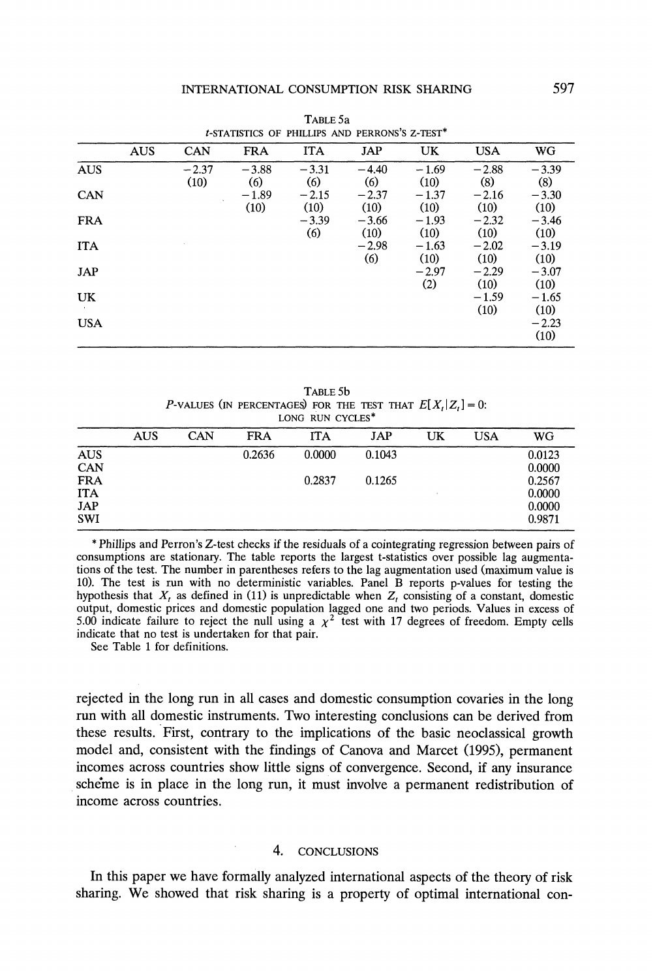|            | t-STATISTICS OF PHILLIPS AND PERRONS'S Z-TEST* |                 |                 |                 |                 |                 |                 |                 |  |  |
|------------|------------------------------------------------|-----------------|-----------------|-----------------|-----------------|-----------------|-----------------|-----------------|--|--|
|            | <b>AUS</b>                                     | <b>CAN</b>      | <b>FRA</b>      | <b>ITA</b>      | JAP             | UK.             | <b>USA</b>      | WG              |  |  |
| <b>AUS</b> |                                                | $-2.37$<br>(10) | $-3.88$<br>(6)  | $-3.31$<br>(6)  | $-4.40$<br>(6)  | $-1.69$<br>(10) | $-2.88$<br>(8)  | $-3.39$<br>(8)  |  |  |
| CAN        |                                                |                 | $-1.89$<br>(10) | $-2.15$<br>(10) | $-2.37$<br>(10) | $-1.37$<br>(10) | $-2.16$<br>(10) | $-3.30$<br>(10) |  |  |
| <b>FRA</b> |                                                |                 |                 | $-3.39$<br>(6)  | $-3.66$<br>(10) | $-1.93$<br>(10) | $-2.32$<br>(10) | $-3.46$<br>(10) |  |  |
| <b>ITA</b> |                                                |                 |                 |                 | $-2.98$<br>(6)  | $-1.63$<br>(10) | $-2.02$<br>(10) | $-3.19$<br>(10) |  |  |
| <b>JAP</b> |                                                |                 |                 |                 |                 | $-2.97$<br>(2)  | $-2.29$<br>(10) | $-3.07$<br>(10) |  |  |
| UK         |                                                |                 |                 |                 |                 |                 | $-1.59$<br>(10) | $-1.65$<br>(10) |  |  |
| <b>USA</b> |                                                |                 |                 |                 |                 |                 |                 | $-2.23$<br>(10) |  |  |

**TABLE 5a** 

**TABLE 5b P-VALUES** (IN PERCENTAGES) FOR THE TEST THAT  $E[X_t|Z_t] = 0$ : **LONG RUN CYCLES\*** 

|            | <b>AUS</b> | CAN | <b>FRA</b> | <b>ITA</b> | JAP    | UK | <b>USA</b> | WG     |  |  |
|------------|------------|-----|------------|------------|--------|----|------------|--------|--|--|
| <b>AUS</b> |            |     | 0.2636     | 0.0000     | 0.1043 |    |            | 0.0123 |  |  |
| CAN        |            |     |            |            |        |    |            | 0.0000 |  |  |
| <b>FRA</b> |            |     |            | 0.2837     | 0.1265 |    |            | 0.2567 |  |  |
| <b>ITA</b> |            |     |            |            |        |    |            | 0.0000 |  |  |
| <b>JAP</b> |            |     |            |            |        |    |            | 0.0000 |  |  |
| <b>SWI</b> |            |     |            |            |        |    |            | 0.9871 |  |  |

**\* Phillips and Perron's Z-test checks if the residuals of a cointegrating regression between pairs of consumptions are stationary. The table reports the largest t-statistics over possible lag augmentations of the test. The number in parentheses refers to the lag augmentation used (maximum value is 10). The test is run with no deterministic variables. Panel B reports p-values for testing the**  hypothesis that  $X_t$  as defined in (11) is unpredictable when  $Z_t$  consisting of a constant, domestic **output, domestic prices and domestic population lagged one and two periods. Values in excess of**  5.00 indicate failure to reject the null using a  $\chi^2$  test with 17 degrees of freedom. Empty cells **indicate that no test is undertaken for that pair.** 

**See Table 1 for definitions.** 

**rejected in the long run in all cases and domestic consumption covaries in the long run with all domestic instruments. Two interesting conclusions can be derived from these results. First, contrary to the implications of the basic neoclassical growth model and, consistent with the findings of Canova and Marcet (1995), permanent incomes across countries show little signs of convergence. Second, if any insurance scheme is in place in the long run, it must involve a permanent redistribution of income across countries.** 

## **4. CONCLUSIONS**

**In this paper we have formally analyzed international aspects of the theory of risk sharing. We showed that risk sharing is a property of optimal international con-**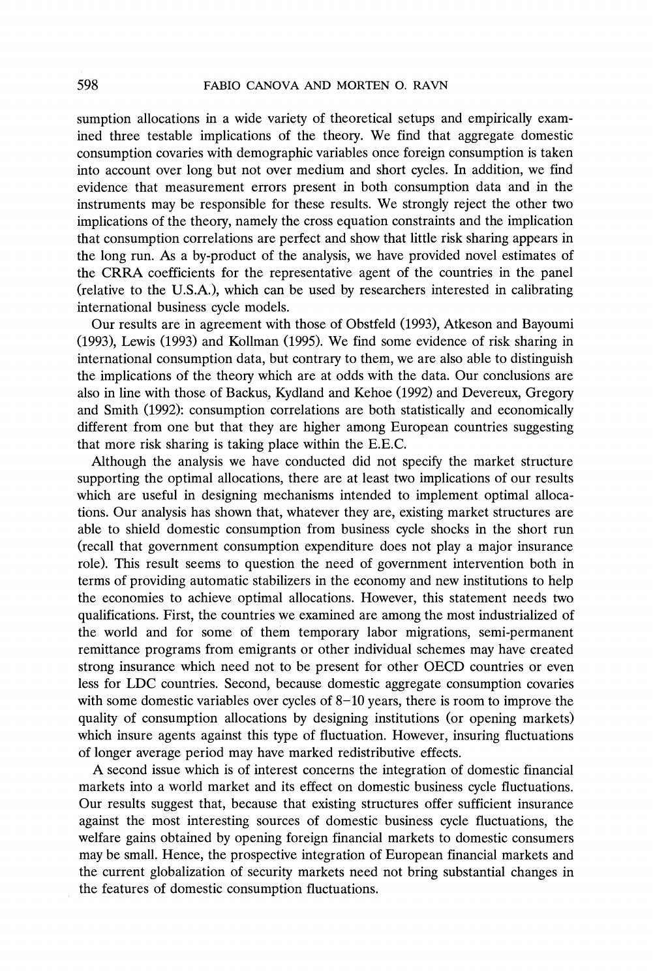**sumption allocations in a wide variety of theoretical setups and empirically examined three testable implications of the theory. We find that aggregate domestic consumption covaries with demographic variables once foreign consumption is taken into account over long but not over medium and short cycles. In addition, we find evidence that measurement errors present in both consumption data and in the instruments may be responsible for these results. We strongly reject the other two implications of the theory, namely the cross equation constraints and the implication that consumption correlations are perfect and show that little risk sharing appears in the long run. As a by-product of the analysis, we have provided novel estimates of the CRRA coefficients for the representative agent of the countries in the panel (relative to the U.S.A.), which can be used by researchers interested in calibrating international business cycle models.** 

**Our results are in agreement with those of Obstfeld (1993), Atkeson and Bayoumi (1993), Lewis (1993) and Kollman (1995). We find some evidence of risk sharing in international consumption data, but contrary to them, we are also able to distinguish the implications of the theory which are at odds with the data. Our conclusions are also in line with those of Backus, Kydland and Kehoe (1992) and Devereux, Gregory and Smith (1992): consumption correlations are both statistically and economically different from one but that they are higher among European countries suggesting that more risk sharing is taking place within the E.E.C.** 

**Although the analysis we have conducted did not specify the market structure supporting the optimal allocations, there are at least two implications of our results which are useful in designing mechanisms intended to implement optimal allocations. Our analysis has shown that, whatever they are, existing market structures are able to shield domestic consumption from business cycle shocks in the short run (recall that government consumption expenditure does not play a major insurance role). This result seems to question the need of government intervention both in terms of providing automatic stabilizers in the economy and new institutions to help the economies to achieve optimal allocations. However, this statement needs two qualifications. First, the countries we examined are among the most industrialized of the world and for some of them temporary labor migrations, semi-permanent remittance programs from emigrants or other individual schemes may have created strong insurance which need not to be present for other OECD countries or even less for LDC countries. Second, because domestic aggregate consumption covaries with some domestic variables over cycles of 8-10 years, there is room to improve the quality of consumption allocations by designing institutions (or opening markets) which insure agents against this type of fluctuation. However, insuring fluctuations of longer average period may have marked redistributive effects.** 

**A second issue which is of interest concerns the integration of domestic financial markets into a world market and its effect on domestic business cycle fluctuations. Our results suggest that, because that existing structures offer sufficient insurance against the most interesting sources of domestic business cycle fluctuations, the welfare gains obtained by opening foreign financial markets to domestic consumers may be small. Hence, the prospective integration of European financial markets and the current globalization of security markets need not bring substantial changes in the features of domestic consumption fluctuations.**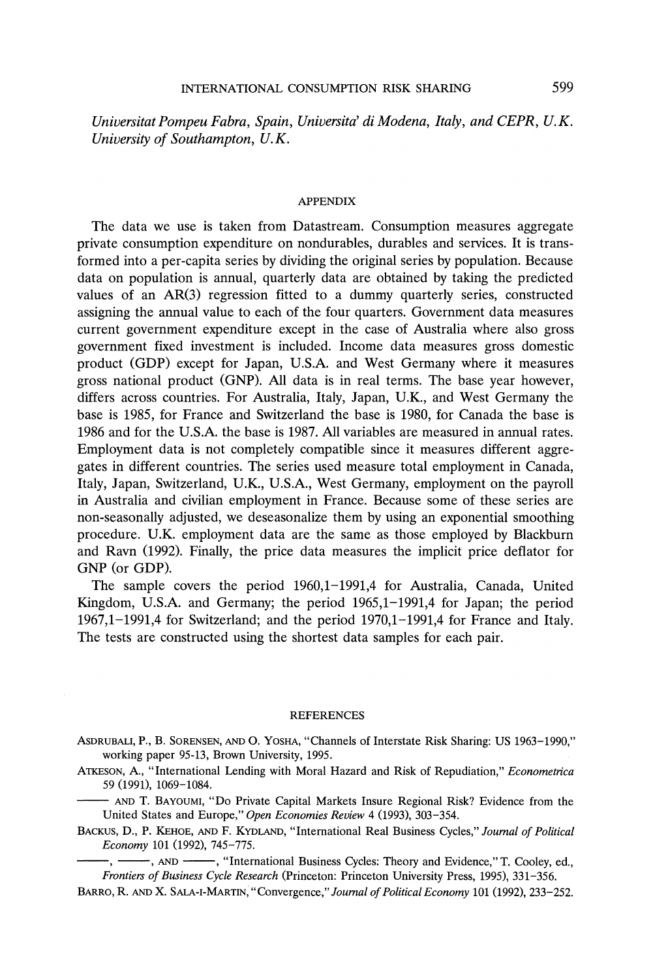Universitat Pompeu Fabra, Spain, Universita' di Modena, Italy, and CEPR, U.K. **University of Southampton, U.K.** 

### **APPENDIX**

**The data we use is taken from Datastream. Consumption measures aggregate private consumption expenditure on nondurables, durables and services. It is transformed into a per-capita series by dividing the original series by population. Because data on population is annual, quarterly data are obtained by taking the predicted values of an AR(3) regression fitted to a dummy quarterly series, constructed assigning the annual value to each of the four quarters. Government data measures current government expenditure except in the case of Australia where also gross government fixed investment is included. Income data measures gross domestic product (GDP) except for Japan, U.S.A. and West Germany where it measures gross national product (GNP). All data is in real terms. The base year however, differs across countries. For Australia, Italy, Japan, U.K., and West Germany the base is 1985, for France and Switzerland the base is 1980, for Canada the base is 1986 and for the U.S.A. the base is 1987. All variables are measured in annual rates. Employment data is not completely compatible since it measures different aggregates in different countries. The series used measure total employment in Canada, Italy, Japan, Switzerland, U.K., U.S.A., West Germany, employment on the payroll in Australia and civilian employment in France. Because some of these series are non-seasonally adjusted, we deseasonalize them by using an exponential smoothing procedure. U.K. employment data are the same as those employed by Blackburn and Ravn (1992). Finally, the price data measures the implicit price deflator for GNP (or GDP).** 

**The sample covers the period 1960,1-1991,4 for Australia, Canada, United Kingdom, U.S.A. and Germany; the period 1965,1-1991,4 for Japan; the period 1967,1-1991,4 for Switzerland; and the period 1970,1-1991,4 for France and Italy. The tests are constructed using the shortest data samples for each pair.** 

#### **REFERENCES**

**ASDRUBALI, P., B. SORENSEN, AND 0. YOSHA, "Channels of Interstate Risk Sharing: US 1963-1990," working paper 95-13, Brown University, 1995.** 

**ATKESON, A., "International Lending with Moral Hazard and Risk of Repudiation," Econometrica 59 (1991), 1069-1084.** 

**AND T. BAYoUMI, "Do Private Capital Markets Insure Regional Risk? Evidence from the United States and Europe," Open Economies Review 4 (1993), 303-354.** 

**BACKUS, D., P. KEHOE, AND F. KYDLAND, "International Real Business Cycles," Journal of Political Economy 101 (1992), 745-775.** 

**, AND , "International Business Cycles: Theory and Evidence," T. Cooley, ed., Frontiers of Business Cycle Research (Princeton: Princeton University Press, 1995), 331-356.** 

**BARRO, R. AND X. SALA-I-MARTIN, Convergence," Journal of Political Economy 101 (1992), 233-252.**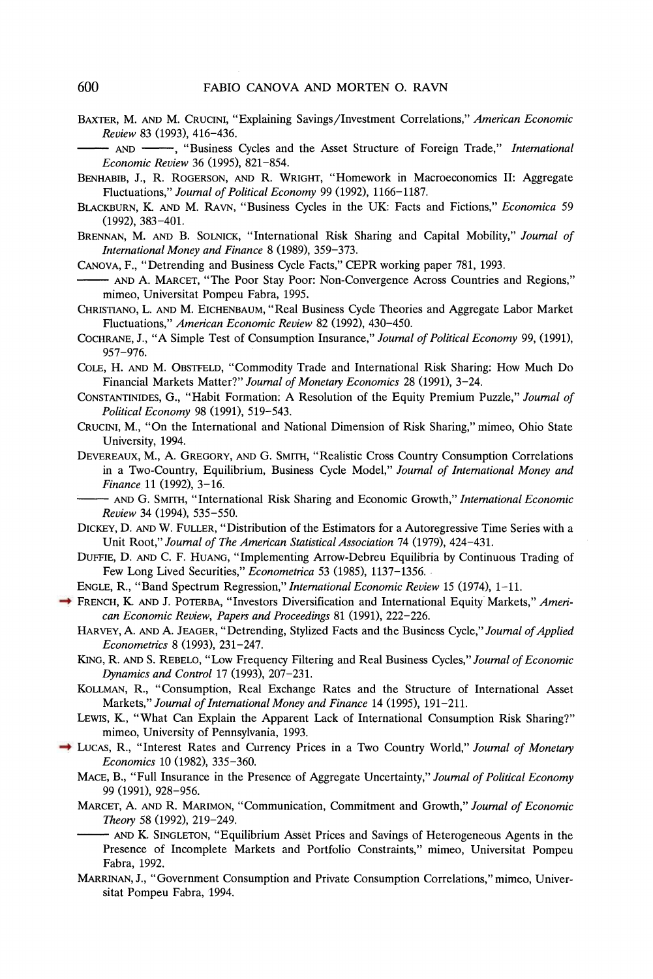**BAXTER, M. AND M. CRUCINI, "Explaining Savings/Investment Correlations," American Economic Review 83 (1993), 416-436.** 

**-** AND **-**, "Business Cycles and the Asset Structure of Foreign Trade," *International* **Economic Review 36 (1995), 821-854.** 

- **BENHABIB, J., R. ROGERSON, AND R. WRIGHT, "Homework in Macroeconomics II: Aggregate Fluctuations," Journal of Political Economy 99 (1992), 1166-1187.**
- **BLACKBURN, K. AND M. RAvN, "Business Cycles in the UK: Facts and Fictions," Economica 59 (1992), 383-401.**
- **BRENNAN, M. AND B. SOLNICK, "International Risk Sharing and Capital Mobility," Journal of International Money and Finance 8 (1989), 359-373.**
- **CANOVA, F., "Detrending and Business Cycle Facts," CEPR working paper 781, 1993.**
- **AND A. MARCET, "The Poor Stay Poor: Non-Convergence Across Countries and Regions," mimeo, Universitat Pompeu Fabra, 1995.**
- **CHRISTIANO, L. AND M. EICHENBAUM, "Real Business Cycle Theories and Aggregate Labor Market Fluctuations," American Economic Review 82 (1992), 430-450.**
- **COCHRANE, J., "A Simple Test of Consumption Insurance," Journal of Political Economy 99, (1991), 957-976.**
- **COLE, H. AND M. OBSTFELD, "Commodity Trade and International Risk Sharing: How Much Do Financial Markets Matter?" Journal of Monetary Economics 28 (1991), 3-24.**
- **CONSTANTINIDES, G., "Habit Formation: A Resolution of the Equity Premium Puzzle," Journal of Political Economy 98 (1991), 519-543.**
- **CRUCINI, M., "On the International and National Dimension of Risk Sharing," mimeo, Ohio State University, 1994.**
- **DEVEREAUX, M., A. GREGORY, AND G. SMITH, "Realistic Cross Country Consumption Correlations in a Two-Country, Equilibrium, Business Cycle Model," Journal of International Money and Finance 11 (1992), 3-16.** 
	- **AND G. SMITH, "International Risk Sharing and Economic Growth," International Economic Review 34 (1994), 535-550.**
- **DICKEY, D. AND W. FULLER, "Distribution of the Estimators for a Autoregressive Time Series with a Unit Root," Journal of The American Statistical Association 74 (1979), 424-431.**
- **DUFFIE, D. AND C. F. HUANG, "Implementing Arrow-Debreu Equilibria by Continuous Trading of Few Long Lived Securities," Econometrica 53 (1985), 1137-1356.**
- **ENGLE, R., "Band Spectrum Regression," International Economic Review 15 (1974), 1-11.**
- **FRENCH, K. AND J. POTERBA, "Investors Diversification and International Equity Markets," American Economic Review, Papers and Proceedings 81 (1991), 222-226.** 
	- **HARVEY, A. AND A. JEAGER, "Detrending, Stylized Facts and the Business Cycle," Journal of Applied Econometrics 8 (1993), 231-247.**
	- **KING, R. AND S. REBELO, "Low Frequency Filtering and Real Business Cycles," Journal of Economic Dynamics and Control 17 (1993), 207-231.**
	- **KOLLMAN, R., "Consumption, Real Exchange Rates and the Structure of International Asset Markets," Journal of International Money and Finance 14 (1995), 191-211.**
	- **LEWIS, K., "What Can Explain the Apparent Lack of International Consumption Risk Sharing?" mimeo, University of Pennsylvania, 1993.**
- **LUCAS, R., "Interest Rates and Currency Prices in a Two Country World," Journal of Monetary Economics 10 (1982), 335-360.** 
	- **MACE, B., "Full Insurance in the Presence of Aggregate Uncertainty," Journal of Political Economy 99 (1991), 928-956.**
	- **MARCET, A. AND R. MARIMON, "Communication, Commitment and Growth," Journal of Economic Theory 58 (1992), 219-249.** 
		- **AND K. SINGLETON, "Equilibrium Asset Prices and Savings of Heterogeneous Agents in the Presence of Incomplete Markets and Portfolio Constraints," mimeo, Universitat Pompeu Fabra, 1992.**
	- **MARRINAN, J., "Government Consumption and Private Consumption Correlations," mimeo, Universitat Pompeu Fabra, 1994.**